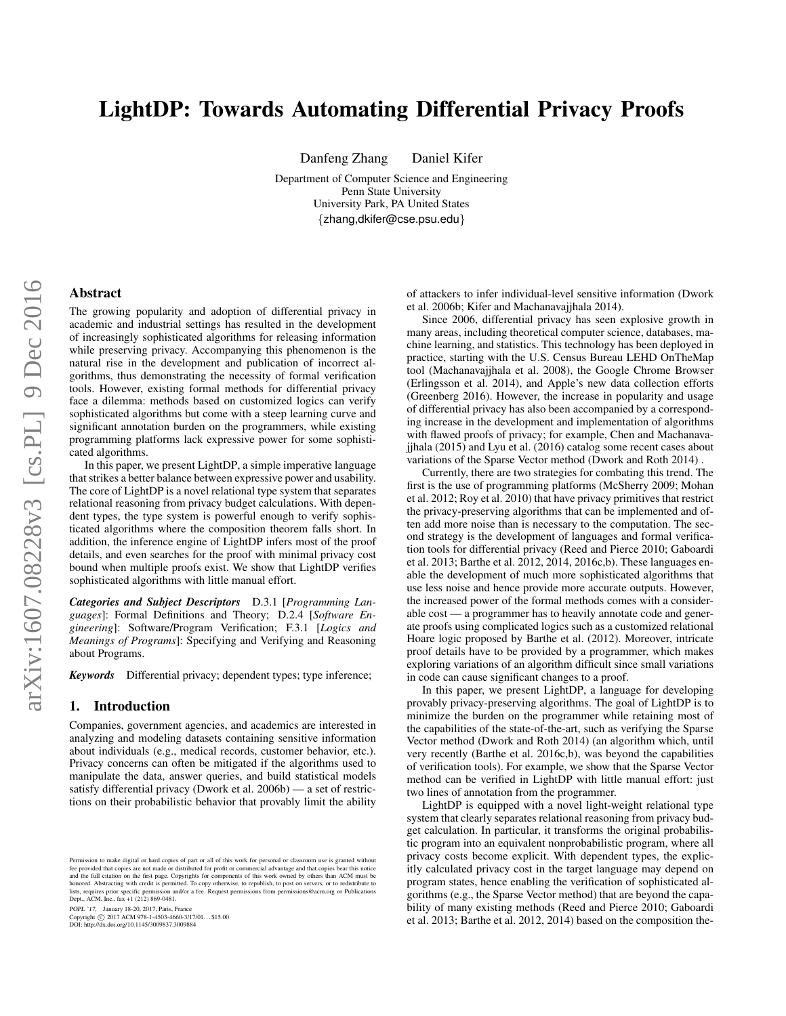# LightDP: Towards Automating Differential Privacy Proofs

Danfeng Zhang Daniel Kifer

Department of Computer Science and Engineering Penn State University University Park, PA United States {zhang,dkifer@cse.psu.edu}

# Abstract

The growing popularity and adoption of differential privacy in academic and industrial settings has resulted in the development of increasingly sophisticated algorithms for releasing information while preserving privacy. Accompanying this phenomenon is the natural rise in the development and publication of incorrect algorithms, thus demonstrating the necessity of formal verification tools. However, existing formal methods for differential privacy face a dilemma: methods based on customized logics can verify sophisticated algorithms but come with a steep learning curve and significant annotation burden on the programmers, while existing programming platforms lack expressive power for some sophisticated algorithms.

In this paper, we present LightDP, a simple imperative language that strikes a better balance between expressive power and usability. The core of LightDP is a novel relational type system that separates relational reasoning from privacy budget calculations. With dependent types, the type system is powerful enough to verify sophisticated algorithms where the composition theorem falls short. In addition, the inference engine of LightDP infers most of the proof details, and even searches for the proof with minimal privacy cost bound when multiple proofs exist. We show that LightDP verifies sophisticated algorithms with little manual effort.

*Categories and Subject Descriptors* D.3.1 [*Programming Languages*]: Formal Definitions and Theory; D.2.4 [*Software Engineering*]: Software/Program Verification; F.3.1 [*Logics and Meanings of Programs*]: Specifying and Verifying and Reasoning about Programs.

*Keywords* Differential privacy; dependent types; type inference;

## 1. Introduction

Companies, government agencies, and academics are interested in analyzing and modeling datasets containing sensitive information about individuals (e.g., medical records, customer behavior, etc.). Privacy concerns can often be mitigated if the algorithms used to manipulate the data, answer queries, and build statistical models satisfy differential privacy [\(Dwork et al.](#page-13-0) [2006b\)](#page-13-0) — a set of restrictions on their probabilistic behavior that provably limit the ability

POPL '17, January 18-20, 2017, Paris, France

Copyright © 2017 ACM 978-1-4503-4660-3/17/01...\$15.00<br>DOI: http://dx.doi.org/10.1145/3009837.3009884

of attackers to infer individual-level sensitive information [\(Dwork](#page-13-0) [et al.](#page-13-0) [2006b;](#page-13-0) [Kifer and Machanavajjhala](#page-13-1) [2014\)](#page-13-1).

Since 2006, differential privacy has seen explosive growth in many areas, including theoretical computer science, databases, machine learning, and statistics. This technology has been deployed in practice, starting with the U.S. Census Bureau LEHD OnTheMap tool [\(Machanavajjhala et al.](#page-13-2) [2008\)](#page-13-2), the Google Chrome Browser [\(Erlingsson et al.](#page-13-3) [2014\)](#page-13-3), and Apple's new data collection efforts [\(Greenberg](#page-13-4) [2016\)](#page-13-4). However, the increase in popularity and usage of differential privacy has also been accompanied by a corresponding increase in the development and implementation of algorithms with flawed proofs of privacy; for example, [Chen and Machanava](#page-13-5)[jjhala](#page-13-5) [\(2015\)](#page-13-5) and [Lyu et al.](#page-13-6) [\(2016\)](#page-13-6) catalog some recent cases about variations of the Sparse Vector method [\(Dwork and Roth](#page-13-7) [2014\)](#page-13-7) .

Currently, there are two strategies for combating this trend. The first is the use of programming platforms [\(McSherry](#page-13-8) [2009;](#page-13-8) [Mohan](#page-13-9) [et al.](#page-13-9) [2012;](#page-13-9) [Roy et al.](#page-13-10) [2010\)](#page-13-10) that have privacy primitives that restrict the privacy-preserving algorithms that can be implemented and often add more noise than is necessary to the computation. The second strategy is the development of languages and formal verification tools for differential privacy [\(Reed and Pierce](#page-13-11) [2010;](#page-13-11) [Gaboardi](#page-13-12) [et al.](#page-13-12) [2013;](#page-13-12) [Barthe et al.](#page-13-13) [2012,](#page-13-13) [2014,](#page-13-14) [2016c,](#page-13-15)[b\)](#page-13-16). These languages enable the development of much more sophisticated algorithms that use less noise and hence provide more accurate outputs. However, the increased power of the formal methods comes with a considerable cost — a programmer has to heavily annotate code and generate proofs using complicated logics such as a customized relational Hoare logic proposed by [Barthe et al.](#page-13-13) [\(2012\)](#page-13-13). Moreover, intricate proof details have to be provided by a programmer, which makes exploring variations of an algorithm difficult since small variations in code can cause significant changes to a proof.

In this paper, we present LightDP, a language for developing provably privacy-preserving algorithms. The goal of LightDP is to minimize the burden on the programmer while retaining most of the capabilities of the state-of-the-art, such as verifying the Sparse Vector method [\(Dwork and Roth](#page-13-7) [2014\)](#page-13-7) (an algorithm which, until very recently [\(Barthe et al.](#page-13-15) [2016c](#page-13-15)[,b\)](#page-13-16), was beyond the capabilities of verification tools). For example, we show that the Sparse Vector method can be verified in LightDP with little manual effort: just two lines of annotation from the programmer.

LightDP is equipped with a novel light-weight relational type system that clearly separates relational reasoning from privacy budget calculation. In particular, it transforms the original probabilistic program into an equivalent nonprobabilistic program, where all privacy costs become explicit. With dependent types, the explicitly calculated privacy cost in the target language may depend on program states, hence enabling the verification of sophisticated algorithms (e.g., the Sparse Vector method) that are beyond the capability of many existing methods [\(Reed and Pierce](#page-13-11) [2010;](#page-13-11) [Gaboardi](#page-13-12) [et al.](#page-13-12) [2013;](#page-13-12) [Barthe et al.](#page-13-13) [2012,](#page-13-13) [2014\)](#page-13-14) based on the composition the-

Permission to make digital or hard copies of part or all of this work for personal or classroom use is granted without fee provided that copies are not made or distributed for profit or commercial advantage and that copies bear this notice<br>and the full citation on the first page. Copyrights for components of this work owned by others than Dept., ACM, Inc., fax +1 (212) 869-0481.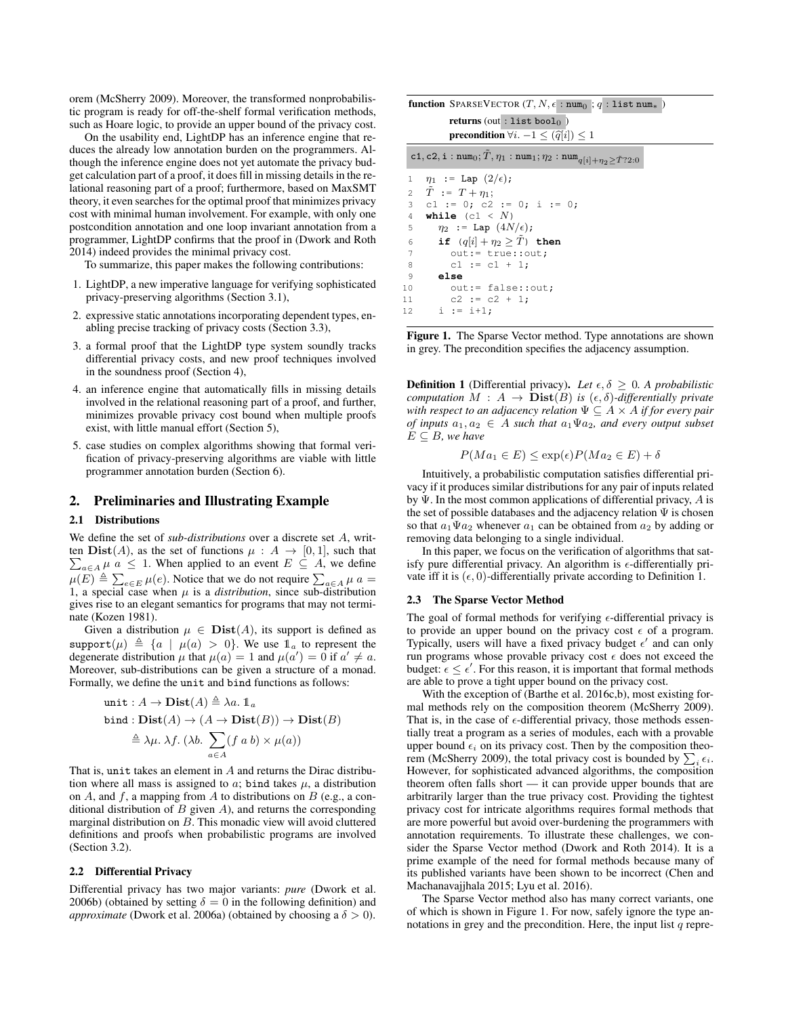orem [\(McSherry](#page-13-8) [2009\)](#page-13-8). Moreover, the transformed nonprobabilistic program is ready for off-the-shelf formal verification methods, such as Hoare logic, to provide an upper bound of the privacy cost.

On the usability end, LightDP has an inference engine that reduces the already low annotation burden on the programmers. Although the inference engine does not yet automate the privacy budget calculation part of a proof, it does fill in missing details in the relational reasoning part of a proof; furthermore, based on MaxSMT theory, it even searches for the optimal proof that minimizes privacy cost with minimal human involvement. For example, with only one postcondition annotation and one loop invariant annotation from a programmer, LightDP confirms that the proof in [\(Dwork and Roth](#page-13-7) [2014\)](#page-13-7) indeed provides the minimal privacy cost.

To summarize, this paper makes the following contributions:

- 1. LightDP, a new imperative language for verifying sophisticated privacy-preserving algorithms (Section [3.1\)](#page-4-0),
- 2. expressive static annotations incorporating dependent types, enabling precise tracking of privacy costs (Section [3.3\)](#page-5-0),
- 3. a formal proof that the LightDP type system soundly tracks differential privacy costs, and new proof techniques involved in the soundness proof (Section [4\)](#page-6-0),
- 4. an inference engine that automatically fills in missing details involved in the relational reasoning part of a proof, and further, minimizes provable privacy cost bound when multiple proofs exist, with little manual effort (Section [5\)](#page-7-0),
- 5. case studies on complex algorithms showing that formal verification of privacy-preserving algorithms are viable with little programmer annotation burden (Section [6\)](#page-10-0).

## 2. Preliminaries and Illustrating Example

#### <span id="page-1-2"></span>2.1 Distributions

We define the set of *sub-distributions* over a discrete set A, writ- $\sum_{a \in A} \mu \ a \leq 1$ . When applied to an event  $E \subseteq A$ , we define ten  $\text{Dist}(A)$ , as the set of functions  $\mu : A \to [0, 1]$ , such that  $\mu(E) \triangleq \sum_{e \in E} \mu(e)$ . Notice that we do not require  $\sum_{a \in A} \mu(a)$ 1, a special case when  $\mu$  is a *distribution*, since sub-distribution gives rise to an elegant semantics for programs that may not terminate [\(Kozen](#page-13-17) [1981\)](#page-13-17).

Given a distribution  $\mu \in \text{Dist}(A)$ , its support is defined as support $(\mu) \triangleq \{a \mid \mu(a) > 0\}$ . We use  $\mathbb{1}_a$  to represent the degenerate distribution  $\mu$  that  $\mu(a) = 1$  and  $\mu(a') = 0$  if  $a' \neq a$ . Moreover, sub-distributions can be given a structure of a monad. Formally, we define the unit and bind functions as follows:

unit : 
$$
A \to \text{Dist}(A) \triangleq \lambda a
$$
.  $\mathbb{1}_a$ 

$$
{\tt bind}:{\bf Dist}(A)\to (A\to{\bf Dist}(B))\to{\bf Dist}(B)
$$

$$
\triangleq \lambda \mu. \lambda f. \left(\lambda b. \sum_{a \in A} (f \, a \, b) \times \mu(a)\right)
$$

That is, unit takes an element in A and returns the Dirac distribution where all mass is assigned to  $a$ ; bind takes  $\mu$ , a distribution on  $A$ , and  $f$ , a mapping from  $A$  to distributions on  $B$  (e.g., a conditional distribution of  $B$  given  $A$ ), and returns the corresponding marginal distribution on B. This monadic view will avoid cluttered definitions and proofs when probabilistic programs are involved (Section [3.2\)](#page-4-1).

# 2.2 Differential Privacy

Differential privacy has two major variants: *pure* [\(Dwork et al.](#page-13-0) [2006b\)](#page-13-0) (obtained by setting  $\delta = 0$  in the following definition) and *approximate* [\(Dwork et al.](#page-13-18) [2006a\)](#page-13-18) (obtained by choosing a  $\delta > 0$ ).

| <b>function</b> SPARSEVECTOR $(T, N, \epsilon : \text{num}_0; q : \text{list num}_*)$ |  |  |
|---------------------------------------------------------------------------------------|--|--|
|---------------------------------------------------------------------------------------|--|--|

|                | <b>returns</b> (out : list bool <sub>0</sub> )<br><b>precondition</b> $\forall i. -1 \leq (\hat{q}[i]) \leq 1$               |
|----------------|------------------------------------------------------------------------------------------------------------------------------|
|                | c1, c2, i : $\texttt{num}_0$ ; $T, \eta_1$ : $\texttt{num}_1$ ; $\eta_2$ : $\texttt{num}_{q[i] + \eta_2 \geq \tilde{T}$ ?2:0 |
| $\mathbf{1}$   | $\eta_1 := \texttt{Lap} (2/\epsilon);$                                                                                       |
| $\overline{2}$ | $\tilde{T} := T + \eta_1$ ;                                                                                                  |
| $\mathcal{E}$  | c1 := 0; c2 := 0; i := 0;                                                                                                    |
| $\overline{4}$ | while (c1 < $N$ )                                                                                                            |
| 5              | $\eta_2$ := Lap $(4N/\epsilon)$ ;                                                                                            |
| 6              | if $(q[i] + \eta_2 \geq \tilde{T})$ then                                                                                     |
| 7              | $out := true::out;$                                                                                                          |
| 8              | $c1 := c1 + 1$                                                                                                               |
| 9              | else                                                                                                                         |
| 10             | out:= false::out;                                                                                                            |
| 11             | $c2 := c2 + 1$ ;                                                                                                             |
| 12             | $i := i+1;$                                                                                                                  |

<span id="page-1-1"></span>Figure 1. The Sparse Vector method. Type annotations are shown in grey. The precondition specifies the adjacency assumption.

<span id="page-1-0"></span>**Definition 1** (Differential privacy). Let  $\epsilon, \delta \geq 0$ . A probabilistic *computation*  $M : A \rightarrow \textbf{Dist}(B)$  *is*  $(\epsilon, \delta)$ *-differentially private with respect to an adjacency relation* Ψ ⊆ A × A *if for every pair of inputs*  $a_1, a_2 \in A$  *such that*  $a_1 \Psi a_2$ *, and every output subset*  $E \subseteq B$ *, we have* 

$$
P(Ma_1 \in E) \le \exp(\epsilon)P(Ma_2 \in E) + \delta
$$

Intuitively, a probabilistic computation satisfies differential privacy if it produces similar distributions for any pair of inputs related by Ψ. In the most common applications of differential privacy, A is the set of possible databases and the adjacency relation  $\Psi$  is chosen so that  $a_1 \Psi a_2$  whenever  $a_1$  can be obtained from  $a_2$  by adding or removing data belonging to a single individual.

In this paper, we focus on the verification of algorithms that satisfy pure differential privacy. An algorithm is  $\epsilon$ -differentially private iff it is  $(\epsilon, 0)$ -differentially private according to Definition [1.](#page-1-0)

#### 2.3 The Sparse Vector Method

The goal of formal methods for verifying  $\epsilon$ -differential privacy is to provide an upper bound on the privacy cost  $\epsilon$  of a program. Typically, users will have a fixed privacy budget  $\epsilon'$  and can only run programs whose provable privacy cost  $\epsilon$  does not exceed the budget:  $\epsilon \leq \epsilon'$ . For this reason, it is important that formal methods are able to prove a tight upper bound on the privacy cost.

With the exception of [\(Barthe et al.](#page-13-15) [2016c,](#page-13-15)[b\)](#page-13-16), most existing formal methods rely on the composition theorem [\(McSherry](#page-13-8) [2009\)](#page-13-8). That is, in the case of  $\epsilon$ -differential privacy, those methods essentially treat a program as a series of modules, each with a provable upper bound  $\epsilon_i$  on its privacy cost. Then by the composition theo-rem [\(McSherry](#page-13-8) [2009\)](#page-13-8), the total privacy cost is bounded by  $\sum_i \epsilon_i$ . However, for sophisticated advanced algorithms, the composition theorem often falls short — it can provide upper bounds that are arbitrarily larger than the true privacy cost. Providing the tightest privacy cost for intricate algorithms requires formal methods that are more powerful but avoid over-burdening the programmers with annotation requirements. To illustrate these challenges, we consider the Sparse Vector method [\(Dwork and Roth](#page-13-7) [2014\)](#page-13-7). It is a prime example of the need for formal methods because many of its published variants have been shown to be incorrect [\(Chen and](#page-13-5) [Machanavajjhala](#page-13-5) [2015;](#page-13-5) [Lyu et al.](#page-13-6) [2016\)](#page-13-6).

The Sparse Vector method also has many correct variants, one of which is shown in Figure [1.](#page-1-1) For now, safely ignore the type annotations in grey and the precondition. Here, the input list  $q$  repre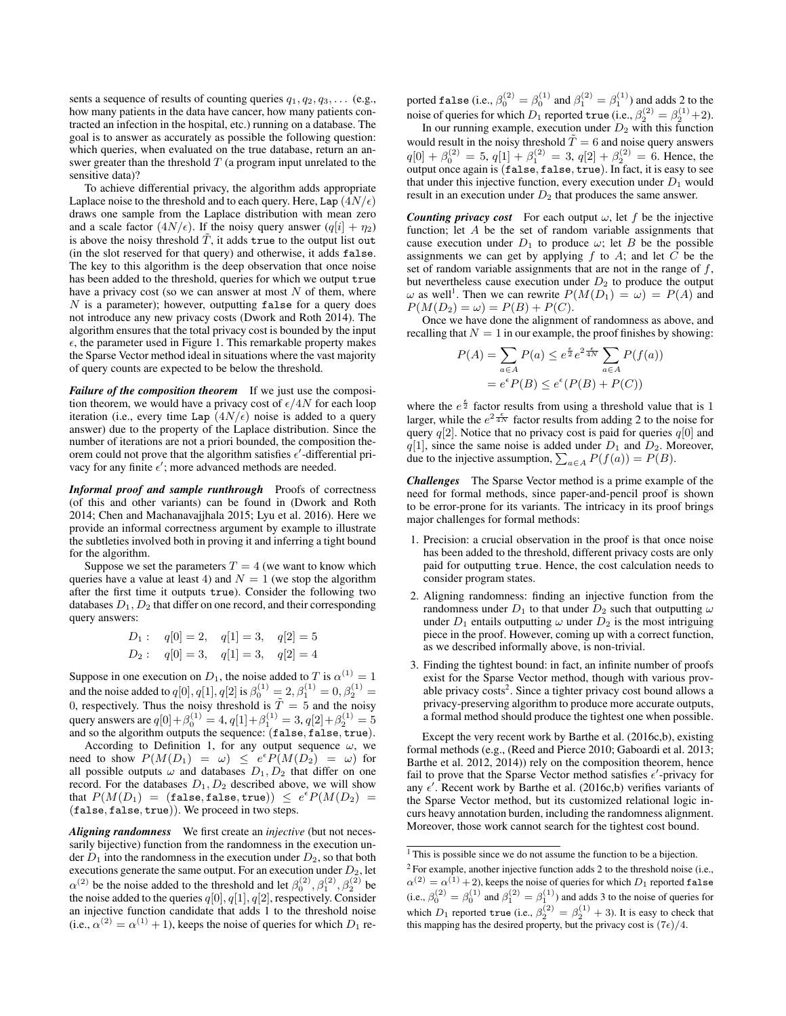sents a sequence of results of counting queries  $q_1, q_2, q_3, \ldots$  (e.g., how many patients in the data have cancer, how many patients contracted an infection in the hospital, etc.) running on a database. The goal is to answer as accurately as possible the following question: which queries, when evaluated on the true database, return an answer greater than the threshold  $T$  (a program input unrelated to the sensitive data)?

To achieve differential privacy, the algorithm adds appropriate Laplace noise to the threshold and to each query. Here, Lap  $(4N/\epsilon)$ draws one sample from the Laplace distribution with mean zero and a scale factor  $(4N/\epsilon)$ . If the noisy query answer  $(q[i] + \eta_2)$ is above the noisy threshold  $\tilde{T}$ , it adds true to the output list out (in the slot reserved for that query) and otherwise, it adds false. The key to this algorithm is the deep observation that once noise has been added to the threshold, queries for which we output true have a privacy cost (so we can answer at most  $N$  of them, where  $N$  is a parameter); however, outputting false for a query does not introduce any new privacy costs [\(Dwork and Roth](#page-13-7) [2014\)](#page-13-7). The algorithm ensures that the total privacy cost is bounded by the input  $\epsilon$ , the parameter used in Figure [1.](#page-1-1) This remarkable property makes the Sparse Vector method ideal in situations where the vast majority of query counts are expected to be below the threshold.

*Failure of the composition theorem* If we just use the composition theorem, we would have a privacy cost of  $\epsilon/4N$  for each loop iteration (i.e., every time Lap  $(4N/\epsilon)$  noise is added to a query answer) due to the property of the Laplace distribution. Since the number of iterations are not a priori bounded, the composition theorem could not prove that the algorithm satisfies  $\epsilon'$ -differential privacy for any finite  $\epsilon'$ ; more advanced methods are needed.

*Informal proof and sample runthrough* Proofs of correctness (of this and other variants) can be found in [\(Dwork and Roth](#page-13-7) [2014;](#page-13-7) [Chen and Machanavajjhala](#page-13-5) [2015;](#page-13-5) [Lyu et al.](#page-13-6) [2016\)](#page-13-6). Here we provide an informal correctness argument by example to illustrate the subtleties involved both in proving it and inferring a tight bound for the algorithm.

Suppose we set the parameters  $T = 4$  (we want to know which queries have a value at least 4) and  $N = 1$  (we stop the algorithm after the first time it outputs true). Consider the following two databases  $D_1, D_2$  that differ on one record, and their corresponding query answers:

$$
D_1
$$
:  $q[0] = 2$ ,  $q[1] = 3$ ,  $q[2] = 5$   
\n $D_2$ :  $q[0] = 3$ ,  $q[1] = 3$ ,  $q[2] = 4$ 

Suppose in one execution on  $D_1$ , the noise added to T is  $\alpha^{(1)} = 1$ and the noise added to  $q[0], q[1], q[2]$  is  $\beta_0^{(1)} = 2, \beta_1^{(1)} = 0, \beta_2^{(1)} = 1$ 0, respectively. Thus the noisy threshold is  $\tilde{T} = 5$  and the noisy query answers are  $q[0] + \beta_0^{(1)} = 4$ ,  $q[1] + \beta_1^{(1)} = 3$ ,  $q[2] + \beta_2^{(1)} = 5$ and so the algorithm outputs the sequence: (false, false, true).

According to Definition [1,](#page-1-0) for any output sequence  $\omega$ , we need to show  $P(M(D_1) = \omega) \leq e^{\epsilon} P(M(D_2) = \omega)$  for all possible outputs  $\omega$  and databases  $D_1, D_2$  that differ on one record. For the databases  $D_1, D_2$  described above, we will show that  $P(M(D_1) =$  (false, false, true))  $\leq e^{\epsilon} P(M(D_2) =$ (false, false, true)). We proceed in two steps.

*Aligning randomness* We first create an *injective* (but not necessarily bijective) function from the randomness in the execution under  $D_1$  into the randomness in the execution under  $D_2$ , so that both executions generate the same output. For an execution under  $D_2$ , let  $\alpha^{(2)}$  be the noise added to the threshold and let  $\beta_0^{(2)}$ ,  $\beta_1^{(2)}$ ,  $\beta_2^{(2)}$  be the noise added to the queries  $q[0], q[1], q[2]$ , respectively. Consider an injective function candidate that adds 1 to the threshold noise (i.e.,  $\alpha^{(2)} = \alpha^{(1)} + 1$ ), keeps the noise of queries for which  $D_1$  reported false (i.e.,  $\beta_0^{(2)} = \beta_0^{(1)}$  and  $\beta_1^{(2)} = \beta_1^{(1)}$ ) and adds 2 to the noise of queries for which  $D_1$  reported  $\tt true$  (i.e.,  $\beta_2^{(2)} = \beta_2^{(1)} + 2$ ).

In our running example, execution under  $D_2$  with this function would result in the noisy threshold  $\tilde{T} = 6$  and noise query answers  $q[0] + \beta_0^{(2)} = 5$ ,  $q[1] + \beta_1^{(2)} = 3$ ,  $q[2] + \beta_2^{(2)} = 6$ . Hence, the output once again is (false, false, true). In fact, it is easy to see that under this injective function, every execution under  $D_1$  would result in an execution under  $D_2$  that produces the same answer.

*Counting privacy cost* For each output  $\omega$ , let f be the injective function; let A be the set of random variable assignments that cause execution under  $D_1$  to produce  $\omega$ ; let B be the possible assignments we can get by applying  $f$  to  $A$ ; and let  $C$  be the set of random variable assignments that are not in the range of  $f$ , but nevertheless cause execution under  $D_2$  to produce the output  $\omega$  as well<sup>[1](#page-2-0)</sup>. Then we can rewrite  $P(M(D_1) = \omega) = P(A)$  and  $P(M(D_2) = \omega) = P(B) + P(C).$ 

Once we have done the alignment of randomness as above, and recalling that  $N = 1$  in our example, the proof finishes by showing:

$$
P(A) = \sum_{a \in A} P(a) \le e^{\frac{\epsilon}{2}} e^{2 \frac{\epsilon}{4N}} \sum_{a \in A} P(f(a))
$$

$$
= e^{\epsilon} P(B) \le e^{\epsilon} (P(B) + P(C))
$$

where the  $e^{\frac{\epsilon}{2}}$  factor results from using a threshold value that is 1 larger, while the  $e^{2\frac{\epsilon}{4N}}$  factor results from adding 2 to the noise for query  $q[2]$ . Notice that no privacy cost is paid for queries  $q[0]$  and  $q[1]$ , since the same noise is added under  $D_1$  and  $D_2$ . Moreover, due to the injective assumption,  $\sum_{a \in A} P(f(a)) = P(B)$ .

*Challenges* The Sparse Vector method is a prime example of the need for formal methods, since paper-and-pencil proof is shown to be error-prone for its variants. The intricacy in its proof brings major challenges for formal methods:

- 1. Precision: a crucial observation in the proof is that once noise has been added to the threshold, different privacy costs are only paid for outputting true. Hence, the cost calculation needs to consider program states.
- 2. Aligning randomness: finding an injective function from the randomness under  $D_1$  to that under  $D_2$  such that outputting  $\omega$ under  $D_1$  entails outputting  $\omega$  under  $D_2$  is the most intriguing piece in the proof. However, coming up with a correct function, as we described informally above, is non-trivial.
- 3. Finding the tightest bound: in fact, an infinite number of proofs exist for the Sparse Vector method, though with various provable privacy  $costs<sup>2</sup>$  $costs<sup>2</sup>$  $costs<sup>2</sup>$ . Since a tighter privacy cost bound allows a privacy-preserving algorithm to produce more accurate outputs, a formal method should produce the tightest one when possible.

Except the very recent work by [Barthe et al.](#page-13-15) [\(2016c,](#page-13-15)[b\)](#page-13-16), existing formal methods (e.g., [\(Reed and Pierce](#page-13-11) [2010;](#page-13-11) [Gaboardi et al.](#page-13-12) [2013;](#page-13-12) [Barthe et al.](#page-13-13) [2012,](#page-13-13) [2014\)](#page-13-14)) rely on the composition theorem, hence fail to prove that the Sparse Vector method satisfies  $\epsilon'$ -privacy for any  $\epsilon'$ . Recent work by [Barthe et al.](#page-13-15) [\(2016c,](#page-13-15)[b\)](#page-13-16) verifies variants of the Sparse Vector method, but its customized relational logic incurs heavy annotation burden, including the randomness alignment. Moreover, those work cannot search for the tightest cost bound.

<span id="page-2-1"></span><sup>2</sup> For example, another injective function adds 2 to the threshold noise (i.e.,  $\alpha^{(2)}=\alpha^{(1)}+2$ ), keeps the noise of queries for which  $D_1$  reported false (i.e.,  $\beta_0^{(2)} = \beta_0^{(1)}$  and  $\beta_1^{(2)} = \beta_1^{(1)}$ ) and adds 3 to the noise of queries for which  $D_1$  reported true (i.e.,  $\beta_2^{(2)} = \beta_2^{(1)} + 3$ ). It is easy to check that this mapping has the desired property, but the privacy cost is  $(7\epsilon)/4$ .

<span id="page-2-0"></span><sup>&</sup>lt;sup>1</sup> This is possible since we do not assume the function to be a bijection.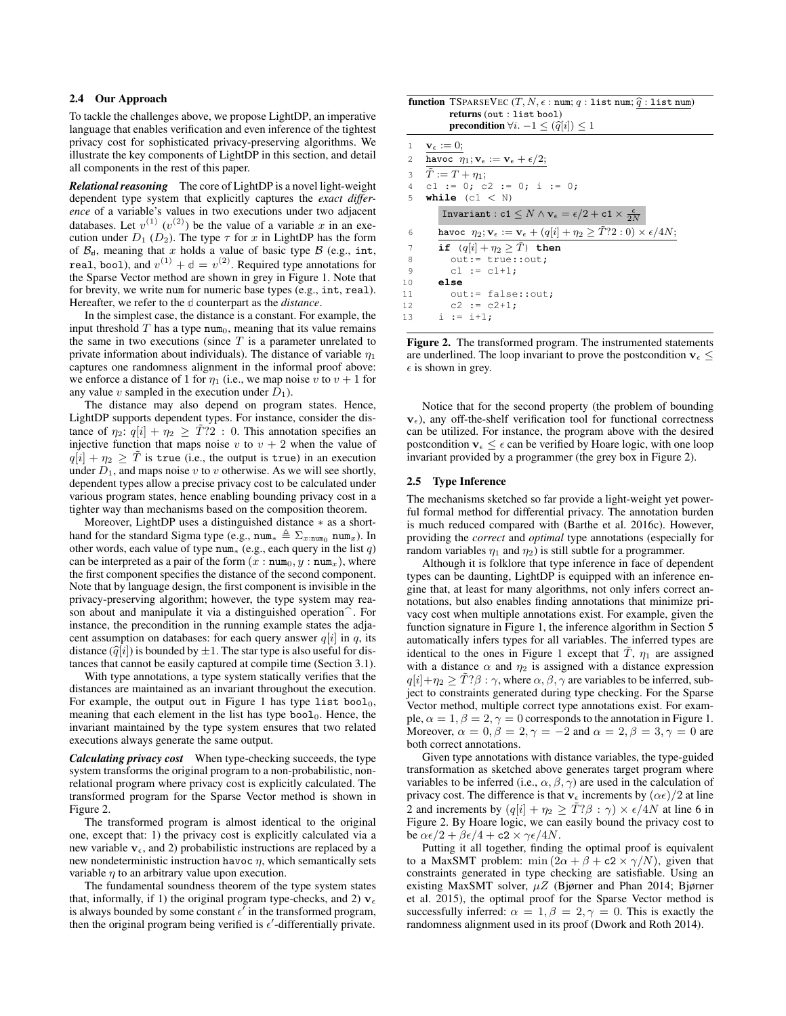## 2.4 Our Approach

To tackle the challenges above, we propose LightDP, an imperative language that enables verification and even inference of the tightest privacy cost for sophisticated privacy-preserving algorithms. We illustrate the key components of LightDP in this section, and detail all components in the rest of this paper.

*Relational reasoning* The core of LightDP is a novel light-weight dependent type system that explicitly captures the *exact difference* of a variable's values in two executions under two adjacent databases. Let  $v^{(1)}$   $(v^{(2)})$  be the value of a variable x in an execution under  $D_1$  ( $D_2$ ). The type  $\tau$  for x in LightDP has the form of  $\mathcal{B}_{d}$ , meaning that x holds a value of basic type  $\beta$  (e.g., int, real, bool), and  $v^{(1)} + \mathbf{d} = v^{(2)}$ . Required type annotations for the Sparse Vector method are shown in grey in Figure [1.](#page-1-1) Note that for brevity, we write num for numeric base types (e.g., int, real). Hereafter, we refer to the **d** counterpart as the *distance*.

In the simplest case, the distance is a constant. For example, the input threshold  $T$  has a type num<sub>0</sub>, meaning that its value remains the same in two executions (since  $T$  is a parameter unrelated to private information about individuals). The distance of variable  $\eta_1$ captures one randomness alignment in the informal proof above: we enforce a distance of 1 for  $\eta_1$  (i.e., we map noise v to  $v + 1$  for any value v sampled in the execution under  $D_1$ ).

The distance may also depend on program states. Hence, LightDP supports dependent types. For instance, consider the distance of  $\eta_2$ :  $q[i] + \eta_2 \geq \overline{T}$ ?2 : 0. This annotation specifies an injective function that maps noise v to  $v + 2$  when the value of  $q[i] + \eta_2 \geq \tilde{T}$  is true (i.e., the output is true) in an execution under  $D_1$ , and maps noise v to v otherwise. As we will see shortly, dependent types allow a precise privacy cost to be calculated under various program states, hence enabling bounding privacy cost in a tighter way than mechanisms based on the composition theorem.

Moreover, LightDP uses a distinguished distance ∗ as a shorthand for the standard Sigma type (e.g., num<sub>\*</sub>  $\triangleq \Sigma_{x:\text{num}_0}$  num<sub>x</sub>). In other words, each value of type num<sub>\*</sub> (e.g., each query in the list  $q$ ) can be interpreted as a pair of the form  $(x : num_0, y : num_x)$ , where the first component specifies the distance of the second component. Note that by language design, the first component is invisible in the privacy-preserving algorithm; however, the type system may reason about and manipulate it via a distinguished operation $\hat{ }$ . For instance, the precondition in the running example states the adjacent assumption on databases: for each query answer  $q[i]$  in q, its distance  $(\hat{q}[i])$  is bounded by  $\pm 1$ . The star type is also useful for distances that cannot be easily captured at compile time (Section [3.1\)](#page-4-0).

With type annotations, a type system statically verifies that the distances are maintained as an invariant throughout the execution. For example, the output out in Figure [1](#page-1-1) has type list bool<sub>0</sub>, meaning that each element in the list has type  $bool<sub>0</sub>$ . Hence, the invariant maintained by the type system ensures that two related executions always generate the same output.

*Calculating privacy cost* When type-checking succeeds, the type system transforms the original program to a non-probabilistic, nonrelational program where privacy cost is explicitly calculated. The transformed program for the Sparse Vector method is shown in Figure [2.](#page-3-0)

The transformed program is almost identical to the original one, except that: 1) the privacy cost is explicitly calculated via a new variable  $v_{\epsilon}$ , and 2) probabilistic instructions are replaced by a new nondeterministic instruction havoc  $\eta$ , which semantically sets variable  $\eta$  to an arbitrary value upon execution.

The fundamental soundness theorem of the type system states that, informally, if 1) the original program type-checks, and 2)  $v_{\epsilon}$ is always bounded by some constant  $\epsilon'$  in the transformed program, then the original program being verified is  $\epsilon'$ -differentially private.

|    | <b>function</b> TSPARSEVEC $(T, N, \epsilon : \text{num}; q : \text{list num}; \hat{q} : \text{list num})$                      |
|----|---------------------------------------------------------------------------------------------------------------------------------|
|    | returns (out : list bool)                                                                                                       |
|    | <b>precondition</b> $\forall i. -1 \leq (\widehat{q}[i]) \leq 1$                                                                |
|    |                                                                                                                                 |
|    | 1 $\mathbf{v}_{\epsilon} := 0;$                                                                                                 |
|    | 2 havoc $\eta_1; \mathbf{v}_{\epsilon} := \mathbf{v}_{\epsilon} + \epsilon/2;$                                                  |
|    | 3 $\tilde{T} := T + \eta_1;$                                                                                                    |
|    | 4 cl := 0; c2 := 0; i := 0;                                                                                                     |
| 5  | while $(c1 < N)$                                                                                                                |
|    | Invariant : $c1 \leq N \wedge \mathbf{v}_{\epsilon} = \epsilon/2 + c1 \times \frac{\epsilon}{2N}$                               |
| 6  | havoc $\eta_2$ ; $\mathbf{v}_{\epsilon} := \mathbf{v}_{\epsilon} + (q[i] + \eta_2 \geq \tilde{T}$ ?2: 0) $\times \epsilon/4N$ ; |
| 7  | if $(q[i] + \eta_2 > T)$ then                                                                                                   |
| 8  | $out := true::out;$                                                                                                             |
| 9  | $c1 := c1+1$ :                                                                                                                  |
| 10 | else                                                                                                                            |
| 11 | out:= false::out;                                                                                                               |
| 12 | $c2 := c2+1$ ;                                                                                                                  |
| 13 | $i := i+1;$                                                                                                                     |

<span id="page-3-0"></span>Figure 2. The transformed program. The instrumented statements are underlined. The loop invariant to prove the postcondition  $v_{\epsilon}$  <  $\epsilon$  is shown in grey.

Notice that for the second property (the problem of bounding  $v<sub>f</sub>$ ), any off-the-shelf verification tool for functional correctness can be utilized. For instance, the program above with the desired postcondition  $\mathbf{v}_{\epsilon} \leq \epsilon$  can be verified by Hoare logic, with one loop invariant provided by a programmer (the grey box in Figure [2\)](#page-3-0).

#### 2.5 Type Inference

The mechanisms sketched so far provide a light-weight yet powerful formal method for differential privacy. The annotation burden is much reduced compared with [\(Barthe et al.](#page-13-15) [2016c\)](#page-13-15). However, providing the *correct* and *optimal* type annotations (especially for random variables  $\eta_1$  and  $\eta_2$ ) is still subtle for a programmer.

Although it is folklore that type inference in face of dependent types can be daunting, LightDP is equipped with an inference engine that, at least for many algorithms, not only infers correct annotations, but also enables finding annotations that minimize privacy cost when multiple annotations exist. For example, given the function signature in Figure [1,](#page-1-1) the inference algorithm in Section [5](#page-7-0) automatically infers types for all variables. The inferred types are identical to the ones in Figure [1](#page-1-1) except that  $\tilde{T}$ ,  $\eta_1$  are assigned with a distance  $\alpha$  and  $\eta_2$  is assigned with a distance expression  $q[i]+ \eta_2 > T? \beta : \gamma$ , where  $\alpha, \beta, \gamma$  are variables to be inferred, subject to constraints generated during type checking. For the Sparse Vector method, multiple correct type annotations exist. For example,  $\alpha = 1, \beta = 2, \gamma = 0$  corresponds to the annotation in Figure [1.](#page-1-1) Moreover,  $\alpha = 0, \beta = 2, \gamma = -2$  and  $\alpha = 2, \beta = 3, \gamma = 0$  are both correct annotations.

Given type annotations with distance variables, the type-guided transformation as sketched above generates target program where variables to be inferred (i.e.,  $\alpha$ ,  $\beta$ ,  $\gamma$ ) are used in the calculation of privacy cost. The difference is that  $\mathbf{v}_{\epsilon}$  increments by  $(\alpha \epsilon)/2$  at line 2 and increments by  $(q[i] + \eta_2 \geq T? \beta : \gamma) \times \epsilon/4N$  at line 6 in Figure [2.](#page-3-0) By Hoare logic, we can easily bound the privacy cost to be  $\alpha \epsilon/2 + \beta \epsilon/4 + c2 \times \gamma \epsilon/4N$ .

Putting it all together, finding the optimal proof is equivalent to a MaxSMT problem: min  $(2\alpha + \beta + c2 \times \gamma/N)$ , given that constraints generated in type checking are satisfiable. Using an existing MaxSMT solver,  $\mu Z$  [\(Bjørner and Phan](#page-13-19) [2014;](#page-13-19) [Bjørner](#page-13-20) [et al.](#page-13-20) [2015\)](#page-13-20), the optimal proof for the Sparse Vector method is successfully inferred:  $\alpha = 1, \beta = 2, \gamma = 0$ . This is exactly the randomness alignment used in its proof [\(Dwork and Roth](#page-13-7) [2014\)](#page-13-7).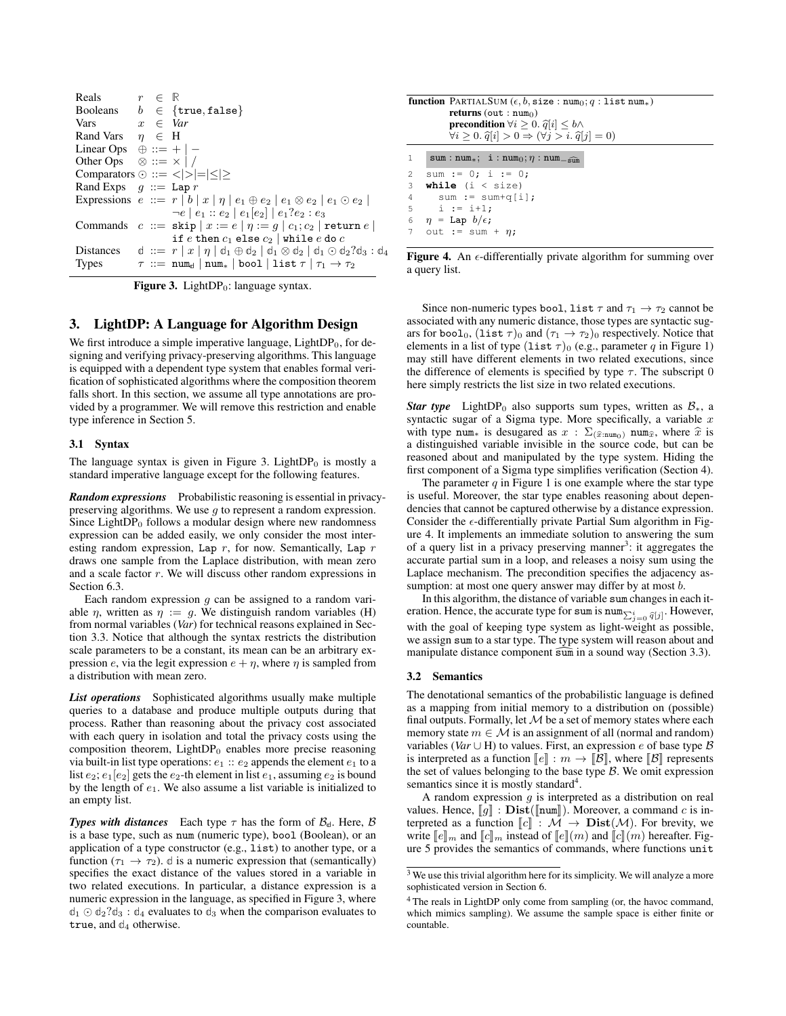```
Reals r \in \mathbb{R}Booleans b \in \{true, false\}Vars x \in VarRand Vars \eta \in H<br>Linear Ops \oplus ::= +\oplus ::= + \mid -Other Ops \otimes ::= \times | /Comparators \odot ::= \lt; |>|=|\leq| \geqRand Exps g ::= \text{Lap } rExpressions e ::= r | b | x | \eta | e_1 \oplus e_2 | e_1 \otimes e_2 | e_1 \odot e_2 |\neg e \mid e_1 :: e_2 \mid e_1 \mid e_2 \mid e_1?e_2 : e_3Commands c ::= skip x := e | \eta := g | c_1; c_2 | return e |if e then c_1 else c_2 | while e do cDistances d ::= r | x | \eta | d_1 \oplus d_2 | d_1 \otimes d_2 | d_1 \odot d_2?d_3 : d_4Types \tau ::= \text{num}_d | \text{num}_* | \text{bool} | \text{list } \tau | \tau_1 \rightarrow \tau_2
```
<span id="page-4-2"></span>**Figure 3.** LightDP $_0$ : language syntax.

# 3. LightDP: A Language for Algorithm Design

We first introduce a simple imperative language,  $LightDP<sub>0</sub>$ , for designing and verifying privacy-preserving algorithms. This language is equipped with a dependent type system that enables formal verification of sophisticated algorithms where the composition theorem falls short. In this section, we assume all type annotations are provided by a programmer. We will remove this restriction and enable type inference in Section [5.](#page-7-0)

#### <span id="page-4-0"></span>3.1 Syntax

The language syntax is given in Figure [3.](#page-4-2) Light $DP_0$  is mostly a standard imperative language except for the following features.

*Random expressions* Probabilistic reasoning is essential in privacypreserving algorithms. We use g to represent a random expression. Since  $Lighther p_0$  follows a modular design where new randomness expression can be added easily, we only consider the most interesting random expression, Lap  $r$ , for now. Semantically, Lap  $r$ draws one sample from the Laplace distribution, with mean zero and a scale factor r. We will discuss other random expressions in Section [6.3.](#page-11-0)

Each random expression  $q$  can be assigned to a random variable  $\eta$ , written as  $\eta := g$ . We distinguish random variables (H) from normal variables (*Var*) for technical reasons explained in Section [3.3.](#page-5-0) Notice that although the syntax restricts the distribution scale parameters to be a constant, its mean can be an arbitrary expression e, via the legit expression  $e + \eta$ , where  $\eta$  is sampled from a distribution with mean zero.

*List operations* Sophisticated algorithms usually make multiple queries to a database and produce multiple outputs during that process. Rather than reasoning about the privacy cost associated with each query in isolation and total the privacy costs using the composition theorem,  $LightDP<sub>0</sub>$  enables more precise reasoning via built-in list type operations:  $e_1$  ::  $e_2$  appends the element  $e_1$  to a list  $e_2$ ;  $e_1[e_2]$  gets the  $e_2$ -th element in list  $e_1$ , assuming  $e_2$  is bound by the length of  $e_1$ . We also assume a list variable is initialized to an empty list.

*Types with distances* Each type  $\tau$  has the form of  $\mathcal{B}_{d}$ . Here,  $\beta$ is a base type, such as num (numeric type), bool (Boolean), or an application of a type constructor (e.g., list) to another type, or a function  $(\tau_1 \to \tau_2)$ .  $\phi$  is a numeric expression that (semantically) specifies the exact distance of the values stored in a variable in two related executions. In particular, a distance expression is a numeric expression in the language, as specified in Figure [3,](#page-4-2) where  $d_1 \odot d_2$ ? $d_3 : d_4$  evaluates to  $d_3$  when the comparison evaluates to true, and  $d_4$  otherwise.

|   | <b>function</b> PARTIALSUM ( $\epsilon$ , b, size : num <sub>0</sub> ; q : list num <sub>*</sub> )<br><b>returns</b> (out : $num_0$ )<br><b>precondition</b> $\forall i > 0$ . $\hat{q}[i] \leq b \wedge$<br>$\forall i \geq 0$ . $\hat{q}[i] > 0 \Rightarrow (\forall j > i$ . $\hat{q}[j] = 0)$ |  |
|---|---------------------------------------------------------------------------------------------------------------------------------------------------------------------------------------------------------------------------------------------------------------------------------------------------|--|
| 1 | $sum: num, i: num_0; \eta: num_{-sim}$                                                                                                                                                                                                                                                            |  |
| 2 | sum := 0; i := 0;                                                                                                                                                                                                                                                                                 |  |
| 3 | while $(i < size)$                                                                                                                                                                                                                                                                                |  |
| 4 | sum := sum+q[i];                                                                                                                                                                                                                                                                                  |  |
|   | 5 i := $i+1$ ;                                                                                                                                                                                                                                                                                    |  |
|   | 6 $\eta$ = Lap $b/\epsilon$ ;                                                                                                                                                                                                                                                                     |  |
| 7 | out := sum + $\eta$ ;                                                                                                                                                                                                                                                                             |  |

<span id="page-4-3"></span>Figure 4. An  $\epsilon$ -differentially private algorithm for summing over a query list.

Since non-numeric types bool, list  $\tau$  and  $\tau_1 \rightarrow \tau_2$  cannot be associated with any numeric distance, those types are syntactic sugars for bool<sub>0</sub>, (list  $\tau$ )<sub>0</sub> and  $(\tau_1 \rightarrow \tau_2)_0$  respectively. Notice that elements in a list of type (list  $\tau$ )<sub>0</sub> (e.g., parameter q in Figure [1\)](#page-1-1) may still have different elements in two related executions, since the difference of elements is specified by type  $\tau$ . The subscript 0 here simply restricts the list size in two related executions.

*Star type* LightDP<sub>0</sub> also supports sum types, written as  $B_{\ast}$ , a syntactic sugar of a Sigma type. More specifically, a variable  $x$ with type num<sub>∗</sub> is desugared as  $x : \Sigma_{(\widehat{x}:\text{num}_0)}$  num $_{\widehat{x}}$ , where  $\widehat{x}$  is a distinguished variable invisible in the source code, but can be reasoned about and manipulated by the type system. Hiding the first component of a Sigma type simplifies verification (Section [4\)](#page-6-0).

The parameter  $q$  in Figure [1](#page-1-1) is one example where the star type is useful. Moreover, the star type enables reasoning about dependencies that cannot be captured otherwise by a distance expression. Consider the  $\epsilon$ -differentially private Partial Sum algorithm in Figure [4.](#page-4-3) It implements an immediate solution to answering the sum of a query list in a privacy preserving manner<sup>[3](#page-4-4)</sup>: it aggregates the accurate partial sum in a loop, and releases a noisy sum using the Laplace mechanism. The precondition specifies the adjacency assumption: at most one query answer may differ by at most  $b$ .

In this algorithm, the distance of variable sum changes in each iteration. Hence, the accurate type for sum is  $\min_{j=0} \hat{q}[j]$ . However, with the goal of keeping type system as light-weight as possible, we assign sum to a star type. The type system will reason about and manipulate distance component  $\widehat{\text{sum}}$  in a sound way (Section [3.3\)](#page-5-0).

#### <span id="page-4-1"></span>3.2 Semantics

The denotational semantics of the probabilistic language is defined as a mapping from initial memory to a distribution on (possible) final outputs. Formally, let  $M$  be a set of memory states where each memory state  $m \in \mathcal{M}$  is an assignment of all (normal and random) variables (*Var*  $\cup$  H) to values. First, an expression e of base type  $\beta$ is interpreted as a function  $\llbracket e \rrbracket : m \to \llbracket \mathcal{B} \rrbracket$ , where  $\llbracket \mathcal{B} \rrbracket$  represents the set of values belonging to the base type B. We omit expression semantics since it is mostly standard<sup>[4](#page-4-5)</sup>.

A random expression  $g$  is interpreted as a distribution on real values. Hence,  $\llbracket g \rrbracket$  :  $\textbf{Dist}(\llbracket \texttt{num} \rrbracket)$ . Moreover, a command c is interpreted as a function  $\llbracket c \rrbracket : \mathcal{M} \to \textbf{Dist}(\mathcal{M})$ . For brevity, we write  $\llbracket e \rrbracket_m$  and  $\llbracket c \rrbracket_m$  instead of  $\llbracket e \rrbracket(m)$  and  $\llbracket c \rrbracket(m)$  hereafter. Figure [5](#page-5-1) provides the semantics of commands, where functions unit

<span id="page-4-4"></span><sup>&</sup>lt;sup>3</sup> We use this trivial algorithm here for its simplicity. We will analyze a more sophisticated version in Section [6.](#page-10-0)

<span id="page-4-5"></span><sup>&</sup>lt;sup>4</sup> The reals in LightDP only come from sampling (or, the havoc command, which mimics sampling). We assume the sample space is either finite or countable.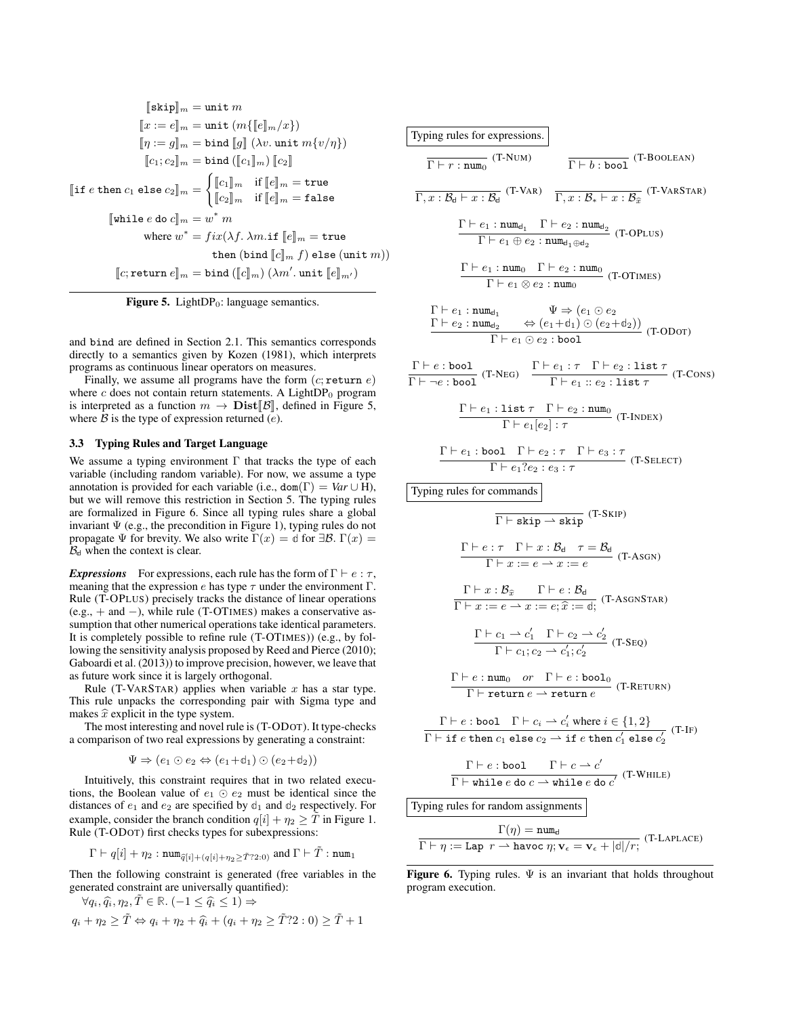$$
[\![\text{skip}]\!]_m = \text{unit } m
$$
\n
$$
[\![x := e]\!]_m = \text{unit } (m\{[\![e]\!]_m/x\})
$$
\n
$$
[\![\eta := g]\!]_m = \text{bind } [\![g]\!] \ (\lambda v. \text{unit } m\{v/\eta\})
$$
\n
$$
[\![c_1; c_2]\!]_m = \text{bind } ([\![c_1]\!]_m) \ [\![c_2]\!]
$$
\n
$$
[\![\text{if } e \text{ then } c_1 \text{ else } c_2]\!]_m = \begin{cases} [\![c_1]\!]_m & \text{if } [\![e]\!]_m = \text{true} \\ [\![c_2]\!]_m & \text{if } [\![e]\!]_m = \text{false} \end{cases}
$$
\n
$$
[\![\text{while } e \text{ do } c]\!]_m = w^* \ m
$$
\n
$$
\text{where } w^* = fix(\lambda f. \ \lambda m. \text{if } [\![e]\!]_m = \text{true} \quad \text{then } (\text{bind } [\![c]\!]_m f) \text{ else } (\text{unit } m))
$$
\n
$$
[\![c; \text{return } e]\!]_m = \text{bind } ([\![c]\!]_m) \ (\lambda m'. \text{unit } [\![e]\!]_{m'})
$$

<span id="page-5-1"></span>Figure 5. Light $DP_0$ : language semantics.

and bind are defined in Section [2.1.](#page-1-2) This semantics corresponds directly to a semantics given by [Kozen](#page-13-17) [\(1981\)](#page-13-17), which interprets programs as continuous linear operators on measures.

Finally, we assume all programs have the form  $(c;$  return  $e)$ where c does not contain return statements. A LightDP $_0$  program is interpreted as a function  $m \to \text{Dist}[\mathcal{B}]$ , defined in Figure [5,](#page-5-1) where  $\beta$  is the type of expression returned (e).

## <span id="page-5-0"></span>3.3 Typing Rules and Target Language

We assume a typing environment  $\Gamma$  that tracks the type of each variable (including random variable). For now, we assume a type annotation is provided for each variable (i.e.,  $dom(\Gamma) = Var \cup H$ ), but we will remove this restriction in Section [5.](#page-7-0) The typing rules are formalized in Figure [6.](#page-5-2) Since all typing rules share a global invariant  $\Psi$  (e.g., the precondition in Figure [1\)](#page-1-1), typing rules do not propagate  $\Psi$  for brevity. We also write  $\Gamma(x) = \mathbf{d}$  for  $\exists \mathcal{B}$ .  $\Gamma(x) = \mathbf{d}$  $B_d$  when the context is clear.

*Expressions* For expressions, each rule has the form of  $\Gamma \vdash e : \tau$ , meaning that the expression e has type  $\tau$  under the environment  $\Gamma$ . Rule (T-OPLUS) precisely tracks the distance of linear operations (e.g., + and −), while rule (T-OTIMES) makes a conservative assumption that other numerical operations take identical parameters. It is completely possible to refine rule (T-OTIMES)) (e.g., by following the sensitivity analysis proposed by [Reed and Pierce](#page-13-11) [\(2010\)](#page-13-11); [Gaboardi et al.](#page-13-12) [\(2013\)](#page-13-12)) to improve precision, however, we leave that as future work since it is largely orthogonal.

Rule (T-VARSTAR) applies when variable  $x$  has a star type. This rule unpacks the corresponding pair with Sigma type and makes  $\hat{x}$  explicit in the type system.

The most interesting and novel rule is (T-ODOT). It type-checks a comparison of two real expressions by generating a constraint:

<span id="page-5-2"></span>
$$
\Psi \Rightarrow (e_1 \odot e_2 \Leftrightarrow (e_1 + d_1) \odot (e_2 + d_2))
$$

Intuitively, this constraint requires that in two related executions, the Boolean value of  $e_1 \odot e_2$  must be identical since the distances of  $e_1$  and  $e_2$  are specified by  $d_1$  and  $d_2$  respectively. For example, consider the branch condition  $q[i] + \eta_2 \geq \overline{T}$  in Figure [1.](#page-1-1) Rule (T-ODOT) first checks types for subexpressions:

$$
\Gamma \vdash q[i] + \eta_2 : \mathtt{num}_{\widehat{q}[i] + (q[i] + \eta_2 \geq \tilde{T}?\mathsf{2}:\mathsf{0})} \text{ and } \Gamma \vdash \tilde{T} : \mathtt{num}_1
$$

Then the following constraint is generated (free variables in the generated constraint are universally quantified):

 $\forall q_i, \widehat{q_i}, \eta_2, \tilde{T} \in \mathbb{R}$ .  $(-1 \leq \widehat{q_i} \leq 1) \Rightarrow$  $q_i + \eta_2 > \tilde{T} \Leftrightarrow q_i + \eta_2 + \hat{q}_i + (q_i + \eta_2 > \tilde{T}$ ?2 : 0)  $> \tilde{T} + 1$ 

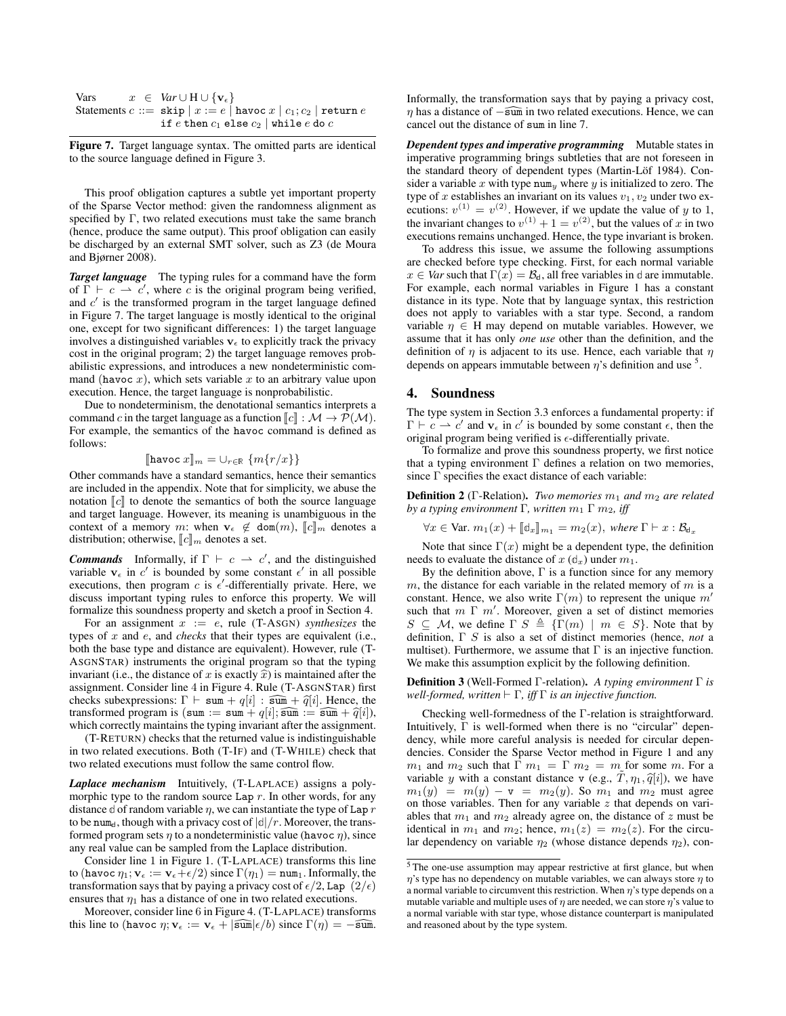Vars  $x \in Var \cup H \cup \{v_{\epsilon}\}\$ Statements  $c ::=$  skip  $x := e |$  havoc  $x | c_1; c_2 |$  return  $e$ if  $e$  then  $c_1$  else  $c_2$  | while  $e$  do  $c$ 

<span id="page-6-1"></span>Figure 7. Target language syntax. The omitted parts are identical to the source language defined in Figure [3.](#page-4-2)

This proof obligation captures a subtle yet important property of the Sparse Vector method: given the randomness alignment as specified by Γ, two related executions must take the same branch (hence, produce the same output). This proof obligation can easily be discharged by an external SMT solver, such as Z3 [\(de Moura](#page-13-21) [and Bjørner](#page-13-21) [2008\)](#page-13-21).

*Target language* The typing rules for a command have the form of  $\overline{\Gamma} \vdash c \rightarrow c'$ , where c is the original program being verified, and  $c'$  is the transformed program in the target language defined in Figure [7.](#page-6-1) The target language is mostly identical to the original one, except for two significant differences: 1) the target language involves a distinguished variables  $v_{\epsilon}$  to explicitly track the privacy cost in the original program; 2) the target language removes probabilistic expressions, and introduces a new nondeterministic command (havoc  $x$ ), which sets variable  $x$  to an arbitrary value upon execution. Hence, the target language is nonprobabilistic.

Due to nondeterminism, the denotational semantics interprets a command c in the target language as a function  $\llbracket c \rrbracket : \mathcal{M} \to \mathcal{P}(\mathcal{M})$ . For example, the semantics of the havoc command is defined as follows:

$$
\text{havoc } x \Vert_m = \cup_{r \in \mathbb{R}} \{ m \{ r/x \} \}
$$

[havoc  $x$ ]<sub>*m*</sub> = ∪<sub>r∈R</sub> {*m*{*r/x*}}<br>Other commands have a standard semantics, hence their semantics are included in the appendix. Note that for simplicity, we abuse the notation  $\llbracket c \rrbracket$  to denote the semantics of both the source language and target language. However, its meaning is unambiguous in the context of a memory m: when  $\mathbf{v}_{\epsilon} \notin \text{dom}(m)$ ,  $\llbracket c \rrbracket_m$  denotes a distribution; otherwise,  $||c||_m$  denotes a set.

**Commands** Informally, if  $\Gamma \vdash c \rightarrow c'$ , and the distinguished variable  $v_{\epsilon}$  in c' is bounded by some constant  $\epsilon'$  in all possible executions, then program  $c$  is  $\epsilon'$ -differentially private. Here, we discuss important typing rules to enforce this property. We will formalize this soundness property and sketch a proof in Section [4.](#page-6-0)

For an assignment  $x := e$ , rule (T-ASGN) *synthesizes* the types of x and e, and *checks* that their types are equivalent (i.e., both the base type and distance are equivalent). However, rule (T-ASGNSTAR) instruments the original program so that the typing invariant (i.e., the distance of x is exactly  $\hat{x}$ ) is maintained after the assignment. Consider line 4 in Figure [4.](#page-4-3) Rule (T-ASGNSTAR) first checks subexpressions:  $\Gamma \vdash \text{sum} + q[i] : \widehat{\text{sum}} + \widehat{q}[i]$ . Hence, the transformed program is  $(\texttt{sum} := \texttt{sum} + q[i]; \widehat{\texttt{sum}} := \widehat{\texttt{sum}} + \widehat{q}[i]),$ which correctly maintains the typing invariant after the assignment.

(T-RETURN) checks that the returned value is indistinguishable in two related executions. Both (T-IF) and (T-WHILE) check that two related executions must follow the same control flow.

*Laplace mechanism* Intuitively, (T-LAPLACE) assigns a polymorphic type to the random source Lap  $r$ . In other words, for any distance  $\phi$  of random variable  $\eta$ , we can instantiate the type of Lap r to be num<sub>d</sub>, though with a privacy cost of  $|d|/r$ . Moreover, the transformed program sets  $\eta$  to a nondeterministic value (havoc  $\eta$ ), since any real value can be sampled from the Laplace distribution.

Consider line 1 in Figure [1.](#page-1-1) (T-LAPLACE) transforms this line to (havoc  $\eta_1$ ;  $\mathbf{v}_{\epsilon} := \mathbf{v}_{\epsilon} + \epsilon/2$ ) since  $\Gamma(\eta_1) = \texttt{num}_1$ . Informally, the transformation says that by paying a privacy cost of  $\epsilon/2$ , Lap  $(2/\epsilon)$ ensures that  $\eta_1$  has a distance of one in two related executions.

Moreover, consider line 6 in Figure [4.](#page-4-3) (T-LAPLACE) transforms this line to (havoc  $\eta$ ;  $\mathbf{v}_{\epsilon} := \mathbf{v}_{\epsilon} + |\widehat{\text{sum}}| \epsilon/b$ ) since  $\Gamma(\eta) = -\widehat{\text{sum}}$ .

Informally, the transformation says that by paying a privacy cost,  $\eta$  has a distance of  $-\widehat{\text{sum}}$  in two related executions. Hence, we can cancel out the distance of sum in line 7.

*Dependent types and imperative programming* Mutable states in imperative programming brings subtleties that are not foreseen in the standard theory of dependent types (Martin-Löf [1984\)](#page-13-22). Consider a variable  $x$  with type  $\texttt{num}_y$  where  $y$  is initialized to zero. The type of x establishes an invariant on its values  $v_1, v_2$  under two executions:  $v^{(1)} = v^{(2)}$ . However, if we update the value of y to 1, the invariant changes to  $v^{(1)} + 1 = v^{(2)}$ , but the values of x in two executions remains unchanged. Hence, the type invariant is broken.

To address this issue, we assume the following assumptions are checked before type checking. First, for each normal variable  $x \in Var$  such that  $\Gamma(x) = \mathcal{B}_{d}$ , all free variables in d are immutable. For example, each normal variables in Figure [1](#page-1-1) has a constant distance in its type. Note that by language syntax, this restriction does not apply to variables with a star type. Second, a random variable  $\eta \in H$  may depend on mutable variables. However, we assume that it has only *one use* other than the definition, and the definition of  $\eta$  is adjacent to its use. Hence, each variable that  $\eta$ depends on appears immutable between  $\eta$ 's definition and use  $^5$  $^5$ .

# <span id="page-6-0"></span>4. Soundness

The type system in Section [3.3](#page-5-0) enforces a fundamental property: if  $\Gamma \vdash c \rightarrow c'$  and  $\mathbf{v}_{\epsilon}$  in  $c'$  is bounded by some constant  $\epsilon$ , then the original program being verified is  $\epsilon$ -differentially private.

To formalize and prove this soundness property, we first notice that a typing environment Γ defines a relation on two memories, since  $\Gamma$  specifies the exact distance of each variable:

**Definition 2** (Γ-Relation). *Two memories*  $m_1$  *and*  $m_2$  *are related by a typing environment*  $\Gamma$ *, written*  $m_1 \Gamma m_2$ *, iff* 

$$
\forall x \in \text{Var. } m_1(x) + [\![\mathbb{d}_x]\!]_{m_1} = m_2(x), \text{ where } \Gamma \vdash x : \mathcal{B}_{\mathbb{d}_x}
$$

Note that since  $\Gamma(x)$  might be a dependent type, the definition needs to evaluate the distance of  $x$  ( $d_x$ ) under  $m_1$ .

By the definition above,  $\Gamma$  is a function since for any memory  $m$ , the distance for each variable in the related memory of  $m$  is a constant. Hence, we also write  $\Gamma(m)$  to represent the unique  $m'$ such that  $m \Gamma m'$ . Moreover, given a set of distinct memories  $S \subseteq M$ , we define  $\Gamma S \triangleq {\Gamma(m) \mid m \in S}$ . Note that by definition, Γ S is also a set of distinct memories (hence, *not* a multiset). Furthermore, we assume that  $\Gamma$  is an injective function. We make this assumption explicit by the following definition.

Definition 3 (Well-Formed Γ-relation). *A typing environment* Γ *is well-formed, written*  $\vdash \Gamma$ *, iff*  $\Gamma$  *is an injective function.* 

Checking well-formedness of the Γ-relation is straightforward. Intuitively, Γ is well-formed when there is no "circular" dependency, while more careful analysis is needed for circular dependencies. Consider the Sparse Vector method in Figure [1](#page-1-1) and any  $m_1$  and  $m_2$  such that  $\Gamma$   $m_1 = \Gamma$   $m_2 = m$  for some m. For a variable y with a constant distance v (e.g.,  $T, \eta_1, \hat{q}[i]$ ), we have  $m_1(y) = m(y) - v = m_2(y)$ . So  $m_1$  and  $m_2$  must agree on those variables. Then for any variable  $z$  that depends on variables that  $m_1$  and  $m_2$  already agree on, the distance of z must be identical in  $m_1$  and  $m_2$ ; hence,  $m_1(z) = m_2(z)$ . For the circular dependency on variable  $\eta_2$  (whose distance depends  $\eta_2$ ), con-

<span id="page-6-2"></span><sup>5</sup> The one-use assumption may appear restrictive at first glance, but when  $\eta$ 's type has no dependency on mutable variables, we can always store  $\eta$  to a normal variable to circumvent this restriction. When  $\eta$ 's type depends on a mutable variable and multiple uses of  $\eta$  are needed, we can store  $\eta$ 's value to a normal variable with star type, whose distance counterpart is manipulated and reasoned about by the type system.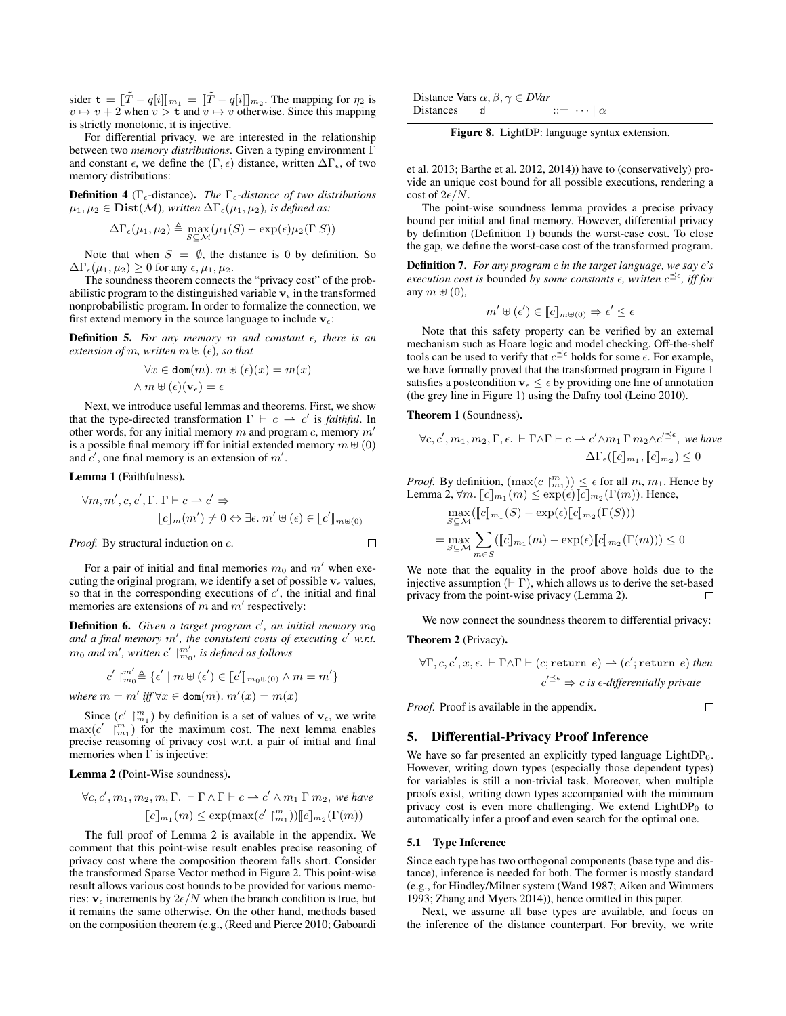sider  $\mathbf{t} = [\![\tilde{T} - q[i]]_{m_1} = [\![\tilde{T} - q[i]]_{m_2}].$  The mapping for  $\eta_2$  is  $v \mapsto v + 2$  when  $v > t$  and  $v \mapsto v$  otherwise. Since this mapping  $v \mapsto v + 2$  when  $v > \pm$  and  $v \mapsto v$  otherwise. Since this mapping is strictly monotonic, it is injective.

For differential privacy, we are interested in the relationship between two *memory distributions*. Given a typing environment Γ and constant  $\epsilon$ , we define the  $(\Gamma, \epsilon)$  distance, written  $\Delta \Gamma_{\epsilon}$ , of two memory distributions:

Definition 4 (Γ-distance). *The* Γ*-distance of two distributions*  $\mu_1, \mu_2 \in \text{Dist}(\mathcal{M})$ *, written*  $\Delta \Gamma_{\epsilon}(\mu_1, \mu_2)$ *, is defined as:* 

$$
\Delta\Gamma_{\epsilon}(\mu_1,\mu_2)\triangleq\max_{S\subseteq\mathcal{M}}(\mu_1(S)-\exp(\epsilon)\mu_2(\Gamma S))
$$

Note that when  $S = \emptyset$ , the distance is 0 by definition. So  $\Delta\Gamma_{\epsilon}(\mu_1,\mu_2) \geq 0$  for any  $\epsilon, \mu_1, \mu_2$ .

The soundness theorem connects the "privacy cost" of the probabilistic program to the distinguished variable  $v_{\epsilon}$  in the transformed nonprobabilistic program. In order to formalize the connection, we first extend memory in the source language to include  $v_{\epsilon}$ :

**Definition 5.** For any memory  $m$  and constant  $\epsilon$ , there is an *extension of m, written*  $m \oplus (\epsilon)$ *, so that* 

$$
\forall x \in \text{dom}(m) \ldotp m \uplus (\epsilon)(x) = m(x)
$$

$$
\land m \uplus (\epsilon)(\mathbf{v}_{\epsilon}) = \epsilon
$$

Next, we introduce useful lemmas and theorems. First, we show that the type-directed transformation  $\Gamma \vdash c \rightharpoonup c'$  is *faithful*. In other words, for any initial memory m and program c, memory  $m'$ is a possible final memory iff for initial extended memory  $m \oplus (0)$ and  $c'$ , one final memory is an extension of  $m'$ .

Lemma 1 (Faithfulness).

 $\forall$ 

$$
m, m', c, c', \Gamma, \Gamma \vdash c \rightharpoonup c' \Rightarrow
$$

$$
[\![c]\!]_m(m') \neq 0 \Leftrightarrow \exists \epsilon, m' \uplus (\epsilon) \in [\![c']\!]_{m \uplus (0)}
$$

*Proof.* By structural induction on  $c$ .

For a pair of initial and final memories  $m_0$  and  $m'$  when executing the original program, we identify a set of possible  $v_{\epsilon}$  values, so that in the corresponding executions of  $c'$ , the initial and final memories are extensions of m and  $m'$  respectively:

**Definition 6.** Given a target program c', an initial memory  $m_0$ and a final memory m', the consistent costs of executing c'w.r.t.  $m_0$  and  $m'$ , written  $c' \mid_{m_0}^{m'}$ , is defined as follows

$$
c' \mid_{m_0}^{m'} \triangleq \{ \epsilon' \mid m \uplus (\epsilon') \in [\![ c' ]\!]_{m_0 \uplus (0)} \land m = m' \}
$$

*where*  $m = m'$  *iff*  $\forall x \in \text{dom}(m)$ .  $m'(x) = m(x)$ 

Since  $(c' \mid_{m_1}^m)$  by definition is a set of values of  $\mathbf{v}_{\epsilon}$ , we write  $\max(c' \mid_{m_1}^m)$  for the maximum cost. The next lemma enables precise reasoning of privacy cost w.r.t. a pair of initial and final memories when  $\Gamma$  is injective:

<span id="page-7-1"></span>Lemma 2 (Point-Wise soundness).

$$
\forall c, c', m_1, m_2, m, \Gamma. \vdash \Gamma \land \Gamma \vdash c \rightharpoonup c' \land m_1 \Gamma \, m_2, \, we \, have
$$

$$
[[c]]_{m_1}(m) \le \exp(\max(c' \upharpoonright_{m_1}^m))[[c]]_{m_2}(\Gamma(m))
$$

The full proof of Lemma [2](#page-7-1) is available in the appendix. We comment that this point-wise result enables precise reasoning of privacy cost where the composition theorem falls short. Consider the transformed Sparse Vector method in Figure [2.](#page-3-0) This point-wise result allows various cost bounds to be provided for various memories:  $v_{\epsilon}$  increments by  $2\epsilon/N$  when the branch condition is true, but it remains the same otherwise. On the other hand, methods based on the composition theorem (e.g., [\(Reed and Pierce](#page-13-11) [2010;](#page-13-11) [Gaboardi](#page-13-12)

|             | Distance Vars $\alpha, \beta, \gamma \in DVar$ |                                 |  |
|-------------|------------------------------------------------|---------------------------------|--|
| Distances d |                                                | $\mathrel{::=}\cdots\mid\alpha$ |  |

<span id="page-7-2"></span>Figure 8. LightDP: language syntax extension.

[et al.](#page-13-12) [2013;](#page-13-12) [Barthe et al.](#page-13-13) [2012,](#page-13-13) [2014\)](#page-13-14)) have to (conservatively) provide an unique cost bound for all possible executions, rendering a cost of  $2\epsilon/N$ .

The point-wise soundness lemma provides a precise privacy bound per initial and final memory. However, differential privacy by definition (Definition [1\)](#page-1-0) bounds the worst-case cost. To close the gap, we define the worst-case cost of the transformed program.

Definition 7. *For any program* c *in the target language, we say* c*'s execution cost is bounded by some constants*  $\epsilon$ , written  $c^{\leq \epsilon}$ , iff for any  $m \oplus (0)$ ,

$$
m' \uplus (\epsilon') \in [\![c]\!]_{m \uplus (0)} \Rightarrow \epsilon' \leq \epsilon
$$

Note that this safety property can be verified by an external mechanism such as Hoare logic and model checking. Off-the-shelf tools can be used to verify that  $c^{\preceq \epsilon}$  holds for some  $\epsilon$ . For example, we have formally proved that the transformed program in Figure [1](#page-1-1) satisfies a postcondition  $\mathbf{v}_{\epsilon} \leq \epsilon$  by providing one line of annotation (the grey line in Figure [1\)](#page-1-1) using the Dafny tool [\(Leino](#page-13-23) [2010\)](#page-13-23).

<span id="page-7-5"></span>Theorem 1 (Soundness).

$$
\forall c, c', m_1, m_2, \Gamma, \epsilon. \vdash \Gamma \land \Gamma \vdash c \to c' \land m_1 \Gamma \, m_2 \land c'^{\preceq \epsilon}, \text{ we have}
$$

$$
\Delta \Gamma_{\epsilon}(\llbracket c \rrbracket_{m_1}, \llbracket c \rrbracket_{m_2}) \le 0
$$

*Proof.* By definition,  $(\max(c \mid_{m_1}^m)) \le \epsilon$  for all  $m, m_1$ . Hence by Lemma [2,](#page-7-1)  $\forall m.$   $\llbracket c \rrbracket_{m_1}(m) \le \exp(\epsilon) \llbracket c \rrbracket_{m_2}(\Gamma(m)).$  Hence,

$$
\max_{S \subseteq \mathcal{M}} (\llbracket c \rrbracket_{m_1}(S) - \exp(\epsilon) \llbracket c \rrbracket_{m_2}(\Gamma(S)))
$$
\n
$$
= \max_{S \subseteq \mathcal{M}} \sum_{m \in S} (\llbracket c \rrbracket_{m_1}(m) - \exp(\epsilon) \llbracket c \rrbracket_{m_2}(\Gamma(m))) \le 0
$$

We note that the equality in the proof above holds due to the injective assumption  $( \vdash \Gamma)$ , which allows us to derive the set-based privacy from the point-wise privacy (Lemma [2\)](#page-7-1).  $\Box$ 

We now connect the soundness theorem to differential privacy:

<span id="page-7-4"></span>Theorem 2 (Privacy).

 $\Box$ 

$$
\forall \Gamma, c, c', x, \epsilon. \vdash \Gamma \land \Gamma \vdash (c; \texttt{return } e) \rightarrow (c'; \texttt{return } e) \text{ then}
$$
  

$$
c'^{\preceq \epsilon} \Rightarrow c \text{ is } \epsilon \text{-differentially private}
$$

 $\Box$ 

*Proof.* Proof is available in the appendix.

## <span id="page-7-0"></span>5. Differential-Privacy Proof Inference

We have so far presented an explicitly typed language  $LightDP<sub>0</sub>$ . However, writing down types (especially those dependent types) for variables is still a non-trivial task. Moreover, when multiple proofs exist, writing down types accompanied with the minimum privacy cost is even more challenging. We extend  $LightDP<sub>0</sub>$  to automatically infer a proof and even search for the optimal one.

#### <span id="page-7-3"></span>5.1 Type Inference

Since each type has two orthogonal components (base type and distance), inference is needed for both. The former is mostly standard (e.g., for Hindley/Milner system [\(Wand](#page-13-24) [1987;](#page-13-24) [Aiken and Wimmers](#page-13-25) [1993;](#page-13-25) [Zhang and Myers](#page-13-26) [2014\)](#page-13-26)), hence omitted in this paper.

Next, we assume all base types are available, and focus on the inference of the distance counterpart. For brevity, we write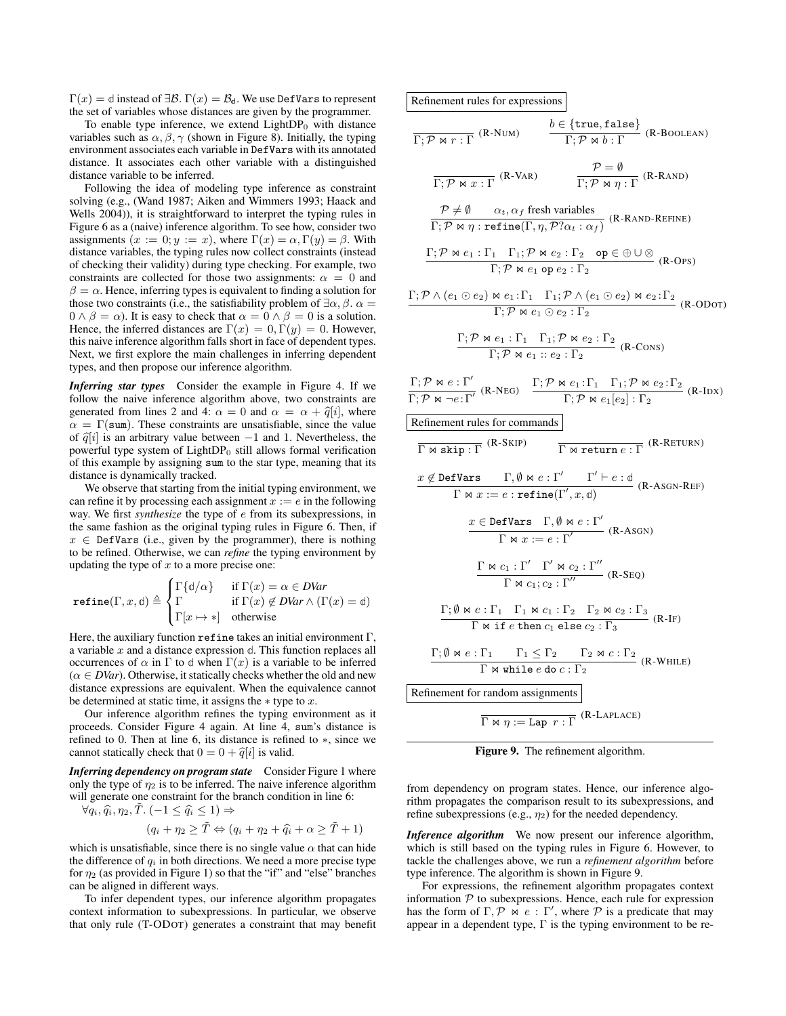$Γ(x) = θ$  instead of ∃*B*. Γ(*x*) = *B*<sub> $θ$ </sub>. We use DefVars to represent the set of variables whose distances are given by the programmer.

To enable type inference, we extend  $LightDP<sub>0</sub>$  with distance variables such as  $\alpha$ ,  $\beta$ ,  $\gamma$  (shown in Figure [8\)](#page-7-2). Initially, the typing environment associates each variable in DefVars with its annotated distance. It associates each other variable with a distinguished distance variable to be inferred.

Following the idea of modeling type inference as constraint solving (e.g., [\(Wand](#page-13-24) [1987;](#page-13-24) [Aiken and Wimmers](#page-13-25) [1993;](#page-13-25) [Haack and](#page-13-27) [Wells](#page-13-27) [2004\)](#page-13-27)), it is straightforward to interpret the typing rules in Figure [6](#page-5-2) as a (naive) inference algorithm. To see how, consider two assignments  $(x := 0; y := x)$ , where  $\Gamma(x) = \alpha, \Gamma(y) = \beta$ . With distance variables, the typing rules now collect constraints (instead of checking their validity) during type checking. For example, two constraints are collected for those two assignments:  $\alpha = 0$  and  $\beta = \alpha$ . Hence, inferring types is equivalent to finding a solution for those two constraints (i.e., the satisfiability problem of  $\exists \alpha, \beta, \alpha =$  $0 \wedge \beta = \alpha$ ). It is easy to check that  $\alpha = 0 \wedge \beta = 0$  is a solution. Hence, the inferred distances are  $\Gamma(x) = 0$ ,  $\Gamma(y) = 0$ . However, this naive inference algorithm falls short in face of dependent types. Next, we first explore the main challenges in inferring dependent types, and then propose our inference algorithm.

*Inferring star types* Consider the example in Figure [4.](#page-4-3) If we follow the naive inference algorithm above, two constraints are generated from lines 2 and 4:  $\alpha = 0$  and  $\alpha = \alpha + \hat{q}[i]$ , where  $\alpha = \Gamma(\text{sum})$ . These constraints are unsatisfiable, since the value of  $\hat{q}[i]$  is an arbitrary value between  $-1$  and 1. Nevertheless, the powerful type system of  $LightDP<sub>0</sub>$  still allows formal verification of this example by assigning sum to the star type, meaning that its distance is dynamically tracked.

We observe that starting from the initial typing environment, we can refine it by processing each assignment  $x := e$  in the following way. We first *synthesize* the type of e from its subexpressions, in the same fashion as the original typing rules in Figure [6.](#page-5-2) Then, if  $x \in$  DefVars (i.e., given by the programmer), there is nothing to be refined. Otherwise, we can *refine* the typing environment by updating the type of  $x$  to a more precise one:

$$
\mathbf{refine}(\Gamma, x, \mathbf{d}) \triangleq \begin{cases} \Gamma\{\mathbf{d}/\alpha\} & \text{if } \Gamma(x) = \alpha \in D\text{Var} \\ \Gamma & \text{if } \Gamma(x) \not\in D\text{Var} \land (\Gamma(x) = \mathbf{d}) \\ \Gamma[x \mapsto *] & \text{otherwise} \end{cases}
$$

Here, the auxiliary function refine takes an initial environment  $\Gamma$ , a variable x and a distance expression **d**. This function replaces all occurrences of  $\alpha$  in  $\Gamma$  to  $\phi$  when  $\Gamma(x)$  is a variable to be inferred  $(\alpha \in DVar)$ . Otherwise, it statically checks whether the old and new distance expressions are equivalent. When the equivalence cannot be determined at static time, it assigns the  $*$  type to  $x$ .

Our inference algorithm refines the typing environment as it proceeds. Consider Figure [4](#page-4-3) again. At line 4, sum's distance is refined to 0. Then at line 6, its distance is refined to ∗, since we cannot statically check that  $0 = 0 + \hat{q}[i]$  is valid.

*Inferring dependency on program state* Consider Figure [1](#page-1-1) where only the type of  $\eta_2$  is to be inferred. The naive inference algorithm will generate one constraint for the branch condition in line 6:

 $\forall q_i, \widehat{q_i}, \eta_2, \tilde{T} \ldots (-1 \leq \widehat{q_i} \leq 1) \Rightarrow$ 

$$
(q_i + \eta_2 \geq \tilde{T} \Leftrightarrow (q_i + \eta_2 + \hat{q}_i + \alpha \geq \tilde{T} + 1)
$$

which is unsatisfiable, since there is no single value  $\alpha$  that can hide the difference of  $q_i$  in both directions. We need a more precise type for  $\eta_2$  (as provided in Figure [1\)](#page-1-1) so that the "if" and "else" branches can be aligned in different ways.

To infer dependent types, our inference algorithm propagates context information to subexpressions. In particular, we observe that only rule (T-ODOT) generates a constraint that may benefit

| Refinement rules for expressions                                                                                                                                                                                                                                                           |
|--------------------------------------------------------------------------------------------------------------------------------------------------------------------------------------------------------------------------------------------------------------------------------------------|
| $b \in {\text{true}, \text{false}}$<br>$\frac{\Gamma \cdot \mathcal{D} \bowtie b \cdot \Gamma}{\Gamma \cdot \mathcal{D} \bowtie b \cdot \Gamma}$ (R-BOOLEAN)<br>$\overline{\Gamma; \mathcal{P} \bowtie r : \Gamma}$ (R-NUM)                                                                |
| $\frac{\mathcal{P} = \emptyset}{\Gamma: \mathcal{P} \bowtie n: \Gamma}$ (R-RAND)<br>$\overline{\Gamma: \mathcal{P} \bowtie x : \Gamma}$ (R-VAR)                                                                                                                                            |
| $\frac{\mathcal{P} \neq \emptyset \qquad \alpha_t, \alpha_f \text{ fresh variables}}{\Gamma; \mathcal{P} \bowtie \eta : \text{refine}(\Gamma, \eta, \mathcal{P}' \alpha_t : \alpha_f)}$ (R-RAND-REFINE)                                                                                    |
| $\frac{\Gamma; \mathcal{P} \bowtie e_1 : \Gamma_1 \quad \Gamma_1; \mathcal{P} \bowtie e_2 : \Gamma_2 \quad \text{op} \in \bigoplus \cup \otimes}{\Gamma; \mathcal{P} \bowtie e_1 \text{ op } e_2 : \Gamma_2}$ (R-Ops)                                                                      |
| $\frac{\Gamma; \mathcal{P} \wedge (e_1 \odot e_2) \bowtie e_1 : \Gamma_1 \quad \Gamma_1; \mathcal{P} \wedge (e_1 \odot e_2) \bowtie e_2 : \Gamma_2}{\Gamma; \mathcal{P} \bowtie e_1 \odot e_2 : \Gamma_2}$ (R-OD0T)                                                                        |
| $\frac{\Gamma; \mathcal{P} \bowtie e_1 : \Gamma_1 \quad \Gamma_1; \mathcal{P} \bowtie e_2 : \Gamma_2}{\Gamma; \mathcal{P} \bowtie e_1 :: e_2 : \Gamma_2}$ (R-CONS)                                                                                                                         |
| $\frac{\Gamma; \mathcal{P} \bowtie e : \Gamma'}{\Gamma; \mathcal{P} \bowtie \neg e : \Gamma'} \text{ (R-NEG)} \quad \frac{\Gamma; \mathcal{P} \bowtie e_1 : \Gamma_1 \quad \Gamma_1; \mathcal{P} \bowtie e_2 : \Gamma_2}{\Gamma; \mathcal{P} \bowtie e_1[e_2] : \Gamma_2} \text{ (R-IDX)}$ |
| Refinement rules for commands                                                                                                                                                                                                                                                              |
| $\Gamma \bowtie \mathtt{return} \; e : \Gamma$ (R-RETURN)<br>$\overline{\Gamma \Join \text{skip}: \Gamma}$ (R-SKIP)                                                                                                                                                                        |
| $\frac{x \not\in \texttt{DefVars}~~\Gamma, \emptyset \bowtie e:\Gamma'~~\Gamma' \vdash e:\emptyset}{\Gamma \bowtie x := e:\texttt{refine}(\Gamma',x,\emptyset)}~(\texttt{R-ASGN-REF})$                                                                                                     |
| $x \in \text{DefVars}$ $\Gamma, \emptyset \bowtie e : \Gamma'$<br>$\Gamma \bowtie x := e : \Gamma'$ (R-ASGN)                                                                                                                                                                               |
| $\frac{\Gamma \Join c_1 : \Gamma' \quad \Gamma' \Join c_2 : \Gamma''}{\Gamma \Join c_1 : c_2 : \Gamma''}$ (R-SEQ)                                                                                                                                                                          |
| $\frac{\Gamma;\emptyset \Join e:\Gamma_1 \quad \Gamma_1 \Join c_1:\Gamma_2 \quad \Gamma_2 \Join c_2:\Gamma_3}{\Gamma \Join \texttt{if } e \texttt{ then } c_1 \texttt{ else } c_2:\Gamma_3} \ (\text{R-IF})$                                                                               |
| $\Gamma$ : $\emptyset \bowtie e : \Gamma_1$ $\Gamma_1 \leq \Gamma_2$ $\Gamma_2 \bowtie c : \Gamma_2$<br>$\Gamma$ (R-WHILE)<br>$\overline{\Gamma}$ $\Join$ while $e$ do $c$ : $\overline{\Gamma_2}$                                                                                         |
| Refinement for random assignments                                                                                                                                                                                                                                                          |
| $\Gamma \bowtie \eta := \text{Lap } r : \Gamma$ (R-LAPLACE)                                                                                                                                                                                                                                |
|                                                                                                                                                                                                                                                                                            |

<span id="page-8-0"></span>Figure 9. The refinement algorithm.

from dependency on program states. Hence, our inference algorithm propagates the comparison result to its subexpressions, and refine subexpressions (e.g.,  $\eta_2$ ) for the needed dependency.

*Inference algorithm* We now present our inference algorithm, which is still based on the typing rules in Figure [6.](#page-5-2) However, to tackle the challenges above, we run a *refinement algorithm* before type inference. The algorithm is shown in Figure [9.](#page-8-0)

For expressions, the refinement algorithm propagates context information  $P$  to subexpressions. Hence, each rule for expression has the form of  $\Gamma, \mathcal{P} \neq e : \Gamma'$ , where  $\mathcal{P}$  is a predicate that may appear in a dependent type,  $\Gamma$  is the typing environment to be re-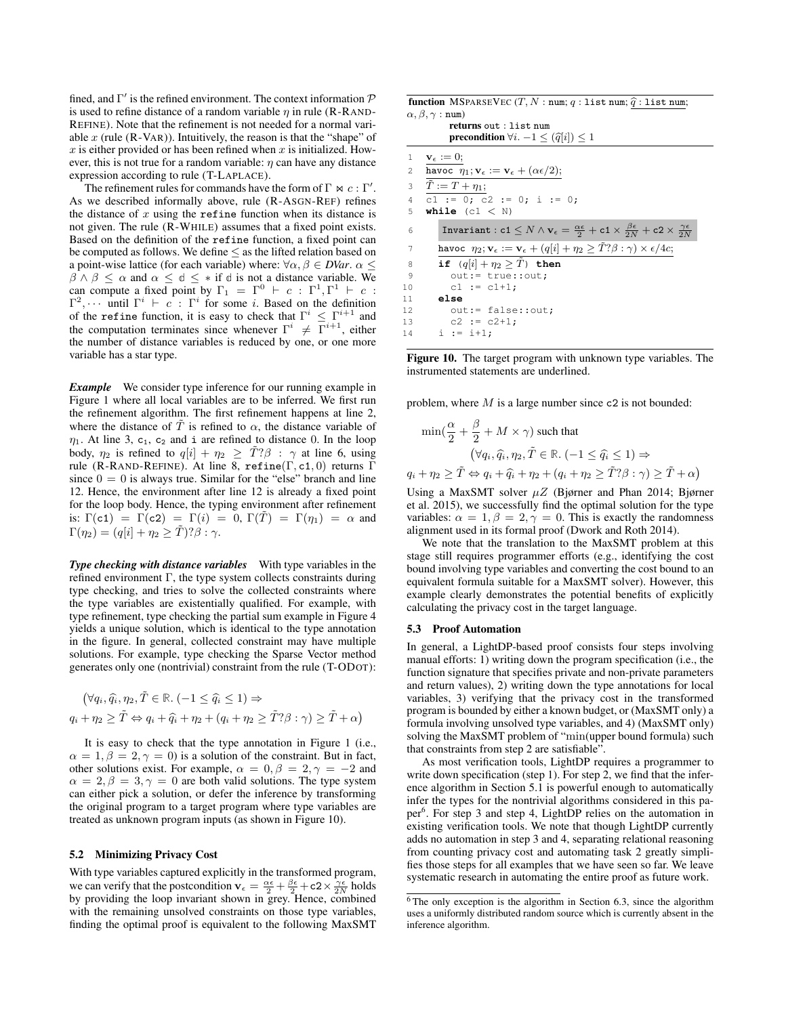fined, and  $\Gamma'$  is the refined environment. The context information  $P$ is used to refine distance of a random variable  $\eta$  in rule (R-RAND-REFINE). Note that the refinement is not needed for a normal variable  $x$  (rule (R-VAR)). Intuitively, the reason is that the "shape" of  $x$  is either provided or has been refined when  $x$  is initialized. However, this is not true for a random variable:  $\eta$  can have any distance expression according to rule (T-LAPLACE).

The refinement rules for commands have the form of  $\Gamma \bowtie c : \Gamma'$ . As we described informally above, rule (R-ASGN-REF) refines the distance of  $x$  using the refine function when its distance is not given. The rule (R-WHILE) assumes that a fixed point exists. Based on the definition of the refine function, a fixed point can be computed as follows. We define  $\leq$  as the lifted relation based on a point-wise lattice (for each variable) where:  $\forall \alpha, \beta \in D\forall\alpha r.\ \alpha \leq$  $\beta \wedge \beta \leq \alpha$  and  $\alpha \leq \beta \leq *$  if  $\beta$  is not a distance variable. We can compute a fixed point by  $\Gamma_1 = \Gamma^0 \vdash c : \Gamma^1, \Gamma^1 \vdash c :$  $\Gamma^2, \cdots$  until  $\Gamma^i \vdash c$ :  $\Gamma^i$  for some *i*. Based on the definition of the refine function, it is easy to check that  $\Gamma^i \leq \Gamma^{i+1}$  and the computation terminates since whenever  $\Gamma^i \neq \Gamma^{i+1}$ , either the number of distance variables is reduced by one, or one more variable has a star type.

*Example* We consider type inference for our running example in Figure [1](#page-1-1) where all local variables are to be inferred. We first run the refinement algorithm. The first refinement happens at line 2, where the distance of  $\tilde{T}$  is refined to  $\alpha$ , the distance variable of  $\eta_1$ . At line 3, c<sub>1</sub>, c<sub>2</sub> and i are refined to distance 0. In the loop body,  $\eta_2$  is refined to  $q[i] + \eta_2 \geq \tilde{T}?\beta$ :  $\gamma$  at line 6, using rule (R-RAND-REFINE). At line 8,  $\texttt{refine}(\Gamma, \texttt{c1}, 0)$  returns  $\Gamma$ since  $0 = 0$  is always true. Similar for the "else" branch and line 12. Hence, the environment after line 12 is already a fixed point for the loop body. Hence, the typing environment after refinement is:  $\Gamma(\text{c1}) = \Gamma(\text{c2}) = \Gamma(i) = 0$ ,  $\Gamma(\bar{T}) = \Gamma(\eta_1) = \alpha$  and  $\Gamma(\eta_2) = (q[i] + \eta_2 \geq \tilde{T})? \beta : \gamma.$ 

*Type checking with distance variables* With type variables in the refined environment  $\Gamma$ , the type system collects constraints during type checking, and tries to solve the collected constraints where the type variables are existentially qualified. For example, with type refinement, type checking the partial sum example in Figure [4](#page-4-3) yields a unique solution, which is identical to the type annotation in the figure. In general, collected constraint may have multiple solutions. For example, type checking the Sparse Vector method generates only one (nontrivial) constraint from the rule (T-ODOT):

$$
(\forall q_i, \hat{q}_i, \eta_2, \tilde{T} \in \mathbb{R}. (-1 \leq \hat{q}_i \leq 1) \Rightarrow
$$
  

$$
q_i + \eta_2 \geq \tilde{T} \Leftrightarrow q_i + \hat{q}_i + \eta_2 + (q_i + \eta_2 \geq \tilde{T}? \beta : \gamma) \geq \tilde{T} + \alpha)
$$

It is easy to check that the type annotation in Figure [1](#page-1-1) (i.e.,  $\alpha = 1, \beta = 2, \gamma = 0$ ) is a solution of the constraint. But in fact, other solutions exist. For example,  $\alpha = 0, \beta = 2, \gamma = -2$  and  $\alpha = 2, \beta = 3, \gamma = 0$  are both valid solutions. The type system can either pick a solution, or defer the inference by transforming the original program to a target program where type variables are treated as unknown program inputs (as shown in Figure [10\)](#page-9-0).

#### 5.2 Minimizing Privacy Cost

With type variables captured explicitly in the transformed program, we can verify that the postcondition  $\mathbf{v}_{\epsilon} = \frac{\alpha \epsilon}{2} + \frac{\beta \epsilon}{2} + c2 \times \frac{\gamma \epsilon}{2N}$  holds by providing the loop invariant shown in grey. Hence, combined with the remaining unsolved constraints on those type variables, finding the optimal proof is equivalent to the following MaxSMT

|                | <b>function</b> MSPARSEVEC $(T, N : num; q : list num; \hat{q} : list num;$                                                                                   |
|----------------|---------------------------------------------------------------------------------------------------------------------------------------------------------------|
|                | $\alpha, \beta, \gamma$ : num)                                                                                                                                |
|                | returns out : list num                                                                                                                                        |
|                | <b>precondition</b> $\forall i. -1 \leq (\widehat{q}[i]) \leq 1$                                                                                              |
|                | 1 ${\bf v}_{\epsilon} := 0;$                                                                                                                                  |
|                | 2 havoc $\eta_1$ ; $\mathbf{v}_{\epsilon}$ := $\mathbf{v}_{\epsilon}$ + ( $\alpha \epsilon/2$ );                                                              |
| $\overline{3}$ | $\tilde{T} := T + \eta_1;$                                                                                                                                    |
|                | 4 c1 := 0; c2 := 0; i := 0;                                                                                                                                   |
| 5              | while $(c1 < N)$                                                                                                                                              |
| 6              | Invariant : $c1 \leq N \wedge \mathbf{v}_{\epsilon} = \frac{\alpha \epsilon}{2} + c1 \times \frac{\beta \epsilon}{2N} + c2 \times \frac{\gamma \epsilon}{2N}$ |
| 7              | havoc $\eta_2$ ; $\mathbf{v}_{\epsilon} := \mathbf{v}_{\epsilon} + (q[i] + \eta_2 \geq T? \beta : \gamma) \times \epsilon/4c$ ;                               |
| 8              | if $(q[i] + \eta_2 \geq \tilde{T})$ then                                                                                                                      |
| 9              | $out := true::out;$                                                                                                                                           |
| 10             | $c1 := c1+1;$                                                                                                                                                 |
| 11             | else                                                                                                                                                          |
| 12.            | out:= false::out;                                                                                                                                             |
| 13             | $c2 := c2+1$ ;                                                                                                                                                |
| 14             | $i := i+1$ :                                                                                                                                                  |

<span id="page-9-0"></span>Figure 10. The target program with unknown type variables. The instrumented statements are underlined.

problem, where  $M$  is a large number since  $c2$  is not bounded:

$$
\min(\frac{\alpha}{2} + \frac{\beta}{2} + M \times \gamma) \text{ such that}
$$
  

$$
(\forall q_i, \hat{q}_i, \eta_2, \tilde{T} \in \mathbb{R}. \ (-1 \le \hat{q}_i \le 1) \Rightarrow
$$
  

$$
q_i + \eta_2 \ge \tilde{T} \Leftrightarrow q_i + \hat{q}_i + \eta_2 + (q_i + \eta_2 \ge \tilde{T}\tilde{?}\beta : \gamma) \ge \tilde{T} + \alpha)
$$

Using a MaxSMT solver  $\mu Z$  [\(Bjørner and Phan](#page-13-19) [2014;](#page-13-19) [Bjørner](#page-13-20) [et al.](#page-13-20) [2015\)](#page-13-20), we successfully find the optimal solution for the type variables:  $\alpha = 1, \beta = 2, \gamma = 0$ . This is exactly the randomness alignment used in its formal proof [\(Dwork and Roth](#page-13-7) [2014\)](#page-13-7).

We note that the translation to the MaxSMT problem at this stage still requires programmer efforts (e.g., identifying the cost bound involving type variables and converting the cost bound to an equivalent formula suitable for a MaxSMT solver). However, this example clearly demonstrates the potential benefits of explicitly calculating the privacy cost in the target language.

#### 5.3 Proof Automation

In general, a LightDP-based proof consists four steps involving manual efforts: 1) writing down the program specification (i.e., the function signature that specifies private and non-private parameters and return values), 2) writing down the type annotations for local variables, 3) verifying that the privacy cost in the transformed program is bounded by either a known budget, or (MaxSMT only) a formula involving unsolved type variables, and 4) (MaxSMT only) solving the MaxSMT problem of "min(upper bound formula) such that constraints from step 2 are satisfiable".

As most verification tools, LightDP requires a programmer to write down specification (step 1). For step 2, we find that the inference algorithm in Section [5.1](#page-7-3) is powerful enough to automatically infer the types for the nontrivial algorithms considered in this pa-per<sup>[6](#page-9-1)</sup>. For step 3 and step 4, LightDP relies on the automation in existing verification tools. We note that though LightDP currently adds no automation in step 3 and 4, separating relational reasoning from counting privacy cost and automating task 2 greatly simplifies those steps for all examples that we have seen so far. We leave systematic research in automating the entire proof as future work.

<span id="page-9-1"></span> $6$ The only exception is the algorithm in Section [6.3,](#page-11-0) since the algorithm uses a uniformly distributed random source which is currently absent in the inference algorithm.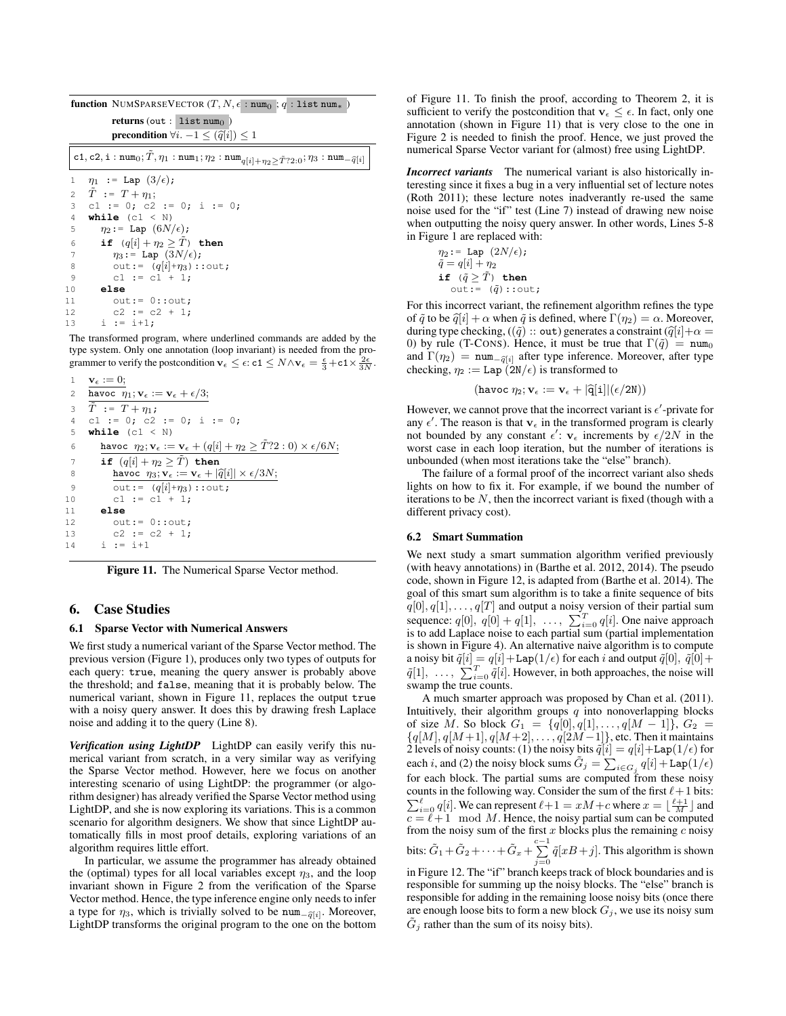| <b>function</b> NUMSPARSEVECTOR $(T, N, \epsilon : \text{num}_0; q : \text{list num}_*)$                                                            |
|-----------------------------------------------------------------------------------------------------------------------------------------------------|
| <b>returns</b> (out : list $num_0$ )                                                                                                                |
| <b>precondition</b> $\forall i. -1 \leq (\widehat{q}[i]) \leq 1$                                                                                    |
| $\verb"c1", \verb"c2", i : num_0; \bar{T}, \eta_1 : num_1; \eta_2 : num_{q[i]+ \eta_2 \geq \tilde{T}?\textbf{2}:0}; \eta_3 : num_{-\widehat{q}[i]}$ |
| $\eta_1$ := Lap $(3/\epsilon)$ ;<br>1                                                                                                               |
| $\tilde{T} := T + \eta_1$<br>$\overline{2}$                                                                                                         |
| 3<br>c1 := 0; c2 := 0; i := 0;                                                                                                                      |
| $\overline{4}$<br>while $(c1 \lt N)$                                                                                                                |
| $\eta_2$ : = Lap $(6N/\epsilon)$ ;<br>5                                                                                                             |
| if $(q[i] + \eta_2 \geq \tilde{T})$ then<br>6                                                                                                       |
| $\eta_3 := \text{Lap}(3N/\epsilon)$ ;<br>$\overline{7}$                                                                                             |
| out:= $(q[i]+\eta_3):$ : out;<br>8                                                                                                                  |
| $cl := cl + 1;$<br>9                                                                                                                                |
| 10<br>else                                                                                                                                          |
| $out := 0::out;$<br>11                                                                                                                              |
| $c2 := c2 + 1$ ;<br>12                                                                                                                              |
| $i := i+1;$<br>13                                                                                                                                   |
| $\sim$                                                                                                                                              |

The transformed program, where underlined commands are added by the type system. Only one annotation (loop invariant) is needed from the programmer to verify the postcondition  $\mathbf{v}_{\epsilon} \leq \epsilon$ : c1  $\leq N \wedge \mathbf{v}_{\epsilon} = \frac{\epsilon}{3} + c1 \times \frac{2\epsilon}{3N}$ .

```
1 \mathbf{v}_{\epsilon} := 0;2 havoc \eta_1; \mathbf{v}_{\epsilon} := \mathbf{v}_{\epsilon} + \epsilon/3;3 \tilde{T} := T + \eta_1;<br>4 c1 := 0: c2
       c1 := 0; c2 := 0; i := 0;5 while (c1 < N)
  6 havoc \eta_2; \mathbf{v}_{\epsilon} := \mathbf{v}_{\epsilon} + (q[i] + \eta_2 \geq \tilde{T}?2: 0) \times \epsilon/6N;
  7 if (q[i] + \eta_2 \geq \tilde{T}) then<br>8 havoc \eta_3; \mathbf{v}_\epsilon := \mathbf{v}_\epsilon + |\tilde{d}|8 havoc \eta_3; \mathbf{v}_\epsilon := \mathbf{v}_\epsilon + |\hat{q}[i]| \times \epsilon/3N;<br>9 out:= (q[i] + \eta_3)::out:
                 out:= (q[i]+\eta_3)::\texttt{out};10 c1 := c1 + 1;
11 else
12 out:= 0::out;
13 c2 := c2 + 1;
14 i := i+1
```
<span id="page-10-1"></span>Figure 11. The Numerical Sparse Vector method.

# <span id="page-10-0"></span>6. Case Studies

## 6.1 Sparse Vector with Numerical Answers

We first study a numerical variant of the Sparse Vector method. The previous version (Figure [1\)](#page-1-1), produces only two types of outputs for each query: true, meaning the query answer is probably above the threshold; and false, meaning that it is probably below. The numerical variant, shown in Figure [11,](#page-10-1) replaces the output true with a noisy query answer. It does this by drawing fresh Laplace noise and adding it to the query (Line 8).

*Verification using LightDP* LightDP can easily verify this numerical variant from scratch, in a very similar way as verifying the Sparse Vector method. However, here we focus on another interesting scenario of using LightDP: the programmer (or algorithm designer) has already verified the Sparse Vector method using LightDP, and she is now exploring its variations. This is a common scenario for algorithm designers. We show that since LightDP automatically fills in most proof details, exploring variations of an algorithm requires little effort.

In particular, we assume the programmer has already obtained the (optimal) types for all local variables except  $\eta_3$ , and the loop invariant shown in Figure [2](#page-3-0) from the verification of the Sparse Vector method. Hence, the type inference engine only needs to infer a type for  $\eta_3$ , which is trivially solved to be num<sub>- $\tilde{q}[i]$ </sub>. Moreover, is the bettom is the property of the bettom. LightDP transforms the original program to the one on the bottom

of Figure [11.](#page-10-1) To finish the proof, according to Theorem [2,](#page-7-4) it is sufficient to verify the postcondition that  $v_{\epsilon} \leq \epsilon$ . In fact, only one annotation (shown in Figure [11\)](#page-10-1) that is very close to the one in Figure [2](#page-3-0) is needed to finish the proof. Hence, we just proved the numerical Sparse Vector variant for (almost) free using LightDP.

*Incorrect variants* The numerical variant is also historically interesting since it fixes a bug in a very influential set of lecture notes [\(Roth](#page-13-28) [2011\)](#page-13-28); these lecture notes inadverantly re-used the same noise used for the "if" test (Line 7) instead of drawing new noise when outputting the noisy query answer. In other words, Lines 5-8 in Figure [1](#page-1-1) are replaced with:

$$
\begin{aligned} \eta_2 &:= \texttt{Lap} \ (2N/\epsilon); \\ \tilde{q} &= q[i] + \eta_2 \\ \texttt{if} \ (\tilde{q} &\geq \tilde{T}) \ \texttt{then} \\ \texttt{out} &:= (\tilde{q}) : \texttt{out}; \end{aligned}
$$

For this incorrect variant, the refinement algorithm refines the type of  $\tilde{q}$  to be  $\tilde{q}[i] + \alpha$  when  $\tilde{q}$  is defined, where  $\Gamma(\eta_2) = \alpha$ . Moreover, during type checking,  $((\tilde{q})::$  out) generates a constraint  $(\tilde{q}[i]+\alpha =$ 0) by rule (T-CONS). Hence, it must be true that  $\Gamma(\tilde{q}) = \text{num}_0$ and  $\Gamma(\eta_2) = \text{num}_{\hat{q}[i]}$  after type inference. Moreover, after type checking,  $\eta_2 := \text{Lap}(2N/\epsilon)$  is transformed to

$$
(\mathtt{havoc}\,\eta_2; \mathbf{v}_{\epsilon}:=\mathbf{v}_{\epsilon}+|\widehat{\mathbf{q}}[\mathtt{i}]|(\epsilon/2\mathtt{N}))
$$

However, we cannot prove that the incorrect variant is  $\epsilon'$ -private for any  $\epsilon'$ . The reason is that  $v_{\epsilon}$  in the transformed program is clearly not bounded by any constant  $\epsilon'$ :  $v_{\epsilon}$  increments by  $\epsilon/2N$  in the worst case in each loop iteration, but the number of iterations is unbounded (when most iterations take the "else" branch).

The failure of a formal proof of the incorrect variant also sheds lights on how to fix it. For example, if we bound the number of iterations to be  $N$ , then the incorrect variant is fixed (though with a different privacy cost).

#### 6.2 Smart Summation

We next study a smart summation algorithm verified previously (with heavy annotations) in [\(Barthe et al.](#page-13-13) [2012,](#page-13-13) [2014\)](#page-13-14). The pseudo code, shown in Figure [12,](#page-11-1) is adapted from [\(Barthe et al.](#page-13-14) [2014\)](#page-13-14). The goal of this smart sum algorithm is to take a finite sequence of bits  $q[0], q[1], \ldots, q[T]$  and output a noisy version of their partial sum sequence:  $q[0], q[0] + q[1], \ldots, \sum_{i=0}^{T} q[i]$ . One naive approach is to add Laplace noise to each partial sum (partial implementation is shown in Figure [4\)](#page-4-3). An alternative naive algorithm is to compute a noisy bit  $\tilde{q}[i] = q[i] + \mathtt{Lap}(1/\epsilon)$  for each  $i$  and output  $\tilde{q}[0],\ \tilde{q}[0] +$  $\tilde{q}[1], \ldots, \sum_{i=0}^{T} \tilde{q}[i]$ . However, in both approaches, the noise will swamp the true counts.

A much smarter approach was proposed by [Chan et al.](#page-13-29) [\(2011\)](#page-13-29). Intuitively, their algorithm groups  $q$  into nonoverlapping blocks of size M. So block  $G_1 = \{q[0], q[1], \ldots, q[M-1]\}, G_2 =$  ${q[M], q[M+1], q[M+2], \ldots, q[2M-1]}$ , etc. Then it maintains 2 levels of noisy counts: (1) the noisy bits  $\tilde{q}[i] = q[i] + \text{Lap}(1/\epsilon)$  for each *i*, and (2) the noisy block sums  $\tilde{G}_j = \sum_{i \in G_j} q[i] + \text{Lap}(1/\epsilon)$ for each block. The partial sums are computed from these noisy counts in the following way. Consider the sum of the first  $\ell + 1$  bits:  $\sum_{i=0}^{\ell} q[i]$ . We can represent  $\ell+1 = xM+c$  where  $x = \lfloor \frac{\ell+1}{M} \rfloor$  and  $c = \ell + 1 \mod M$ . Hence, the noisy partial sum can be computed from the noisy sum of the first  $x$  blocks plus the remaining  $c$  noisy bits:  $\tilde{G}_1 + \tilde{G}_2 + \cdots + \tilde{G}_x + \sum_{j=0}^{c-1} \tilde{q}[xB+j].$  This algorithm is shown

in Figure [12.](#page-11-1) The "if" branch keeps track of block boundaries and is responsible for summing up the noisy blocks. The "else" branch is responsible for adding in the remaining loose noisy bits (once there are enough loose bits to form a new block  $G_j$ , we use its noisy sum  $G_j$  rather than the sum of its noisy bits).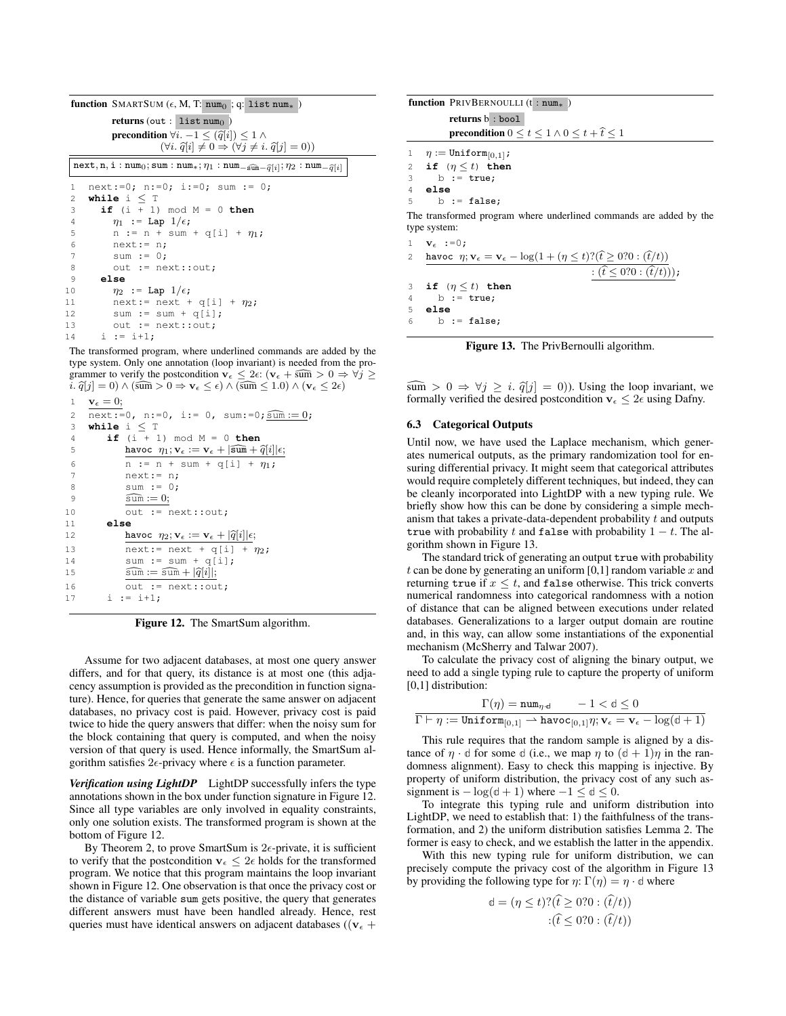| function SMARTSUM $(\epsilon, M, T: num_0; q: list num_*)$                                                                                                                          |
|-------------------------------------------------------------------------------------------------------------------------------------------------------------------------------------|
| <b>returns</b> (out : list $num_0$ )                                                                                                                                                |
| <b>precondition</b> $\forall i$ . $-1 \leq (\widehat{q}[i]) \leq 1 \land$<br>$(\forall i. \hat{q}[i] \neq 0 \Rightarrow (\forall j \neq i. \hat{q}[j] = 0))$                        |
| $\mathtt{next},\mathtt{n},\mathtt{i}:\mathtt{num}_0;\mathtt{sum}:\mathtt{num}_*;\eta_1:\mathtt{num}_{-\widehat{\mathtt{sum}}-\widehat{q}[i]};\eta_2:\mathtt{num}_{-\widehat{q}[i]}$ |
| $next := 0; n := 0; i := 0; sum := 0;$<br>1                                                                                                                                         |
| while $i < T$<br>2                                                                                                                                                                  |
| if $(i + 1) \mod M = 0$ then<br>3                                                                                                                                                   |
| $\eta_1 := \text{Lap } 1/\epsilon$ ;<br>4                                                                                                                                           |
| 5<br>$n := n + sum + q[i] + \eta_1;$                                                                                                                                                |
| 6<br>$next := n;$                                                                                                                                                                   |
| 7<br>$sum := 0$ ;                                                                                                                                                                   |
| 8<br>$out := next::out;$                                                                                                                                                            |
| else<br>9                                                                                                                                                                           |
| $\eta_2$ := Lap $1/\epsilon$ ;<br>10                                                                                                                                                |
| $next := next + q[i] + \eta_2;$<br>11                                                                                                                                               |
| 12<br>sum := sum + q[i];                                                                                                                                                            |
| 13<br>$out := next::out;$                                                                                                                                                           |
| $i := i+1;$<br>14                                                                                                                                                                   |

The transformed program, where underlined commands are added by the type system. Only one annotation (loop invariant) is needed from the programmer to verify the postcondition  $\mathbf{v}_{\epsilon} \leq 2\epsilon$ :  $(\mathbf{v}_{\epsilon} + \widehat{\text{sum}} > 0 \Rightarrow \forall j \geq 1$  $\vec{i} \cdot \hat{q}[j] = 0) \wedge (\widehat{\text{sum}} > 0 \Rightarrow \mathbf{v}_{\epsilon} \leq \epsilon) \wedge (\widehat{\text{sum}} \leq 1.0) \wedge (\mathbf{v}_{\epsilon} \leq 2\epsilon)$ <br>1  $\mathbf{v}_{\epsilon} = 0$ ;

```
\mathbf{v}_{\epsilon} = 0;2 next:=0, n:=0, i:= 0, sum:=0; \frac{\text{sum}}{\text{sum}} := 0;<br>3 while i \leq Twhile i \leq T4 if (i + 1) mod M = 0 then
 5 havoc \eta_1; \mathbf{v}_{\epsilon} := \mathbf{v}_{\epsilon} + |\widehat{\textbf{sum}} + \widehat{q}[i]| \epsilon;<br>6 n := n + sum + \alpha[i] + \eta_1;
                    n := n + \text{sum} + q[i] + \eta_{1};7 next:= n;
 8 sum := 0;
9 \widehat{\text{sum}} := 0;<br>10 \widehat{\text{out}} := r\overline{\text{out}} := \text{next}::\text{out};11 else
12 havoc \eta_2; \mathbf{v}_{\epsilon} := \mathbf{v}_{\epsilon} + |\widehat{q}[i]| \epsilon;<br>
13 hext:= next + q[i] + i
13 next := next + q[i] + \eta_2;14 sum := sum + q[i];15 \widehat{\text{sum}} := \widehat{\text{sum}} + |\widehat{q}[i]|;<br>16 out := next::ou
                   out := next::out;
17 i := i+1;
```
<span id="page-11-1"></span>Figure 12. The SmartSum algorithm.

Assume for two adjacent databases, at most one query answer differs, and for that query, its distance is at most one (this adjacency assumption is provided as the precondition in function signature). Hence, for queries that generate the same answer on adjacent databases, no privacy cost is paid. However, privacy cost is paid twice to hide the query answers that differ: when the noisy sum for the block containing that query is computed, and when the noisy version of that query is used. Hence informally, the SmartSum algorithm satisfies  $2\epsilon$ -privacy where  $\epsilon$  is a function parameter.

*Verification using LightDP* LightDP successfully infers the type annotations shown in the box under function signature in Figure [12.](#page-11-1) Since all type variables are only involved in equality constraints, only one solution exists. The transformed program is shown at the bottom of Figure [12.](#page-11-1)

By Theorem [2,](#page-7-4) to prove SmartSum is  $2\epsilon$ -private, it is sufficient to verify that the postcondition  $\mathbf{v}_{\epsilon} \leq 2\epsilon$  holds for the transformed program. We notice that this program maintains the loop invariant shown in Figure [12.](#page-11-1) One observation is that once the privacy cost or the distance of variable sum gets positive, the query that generates different answers must have been handled already. Hence, rest queries must have identical answers on adjacent databases ( $(v_{\epsilon} +$ 

| function $PRIVBERNOULLI$ (t : num $_{*}$ )                                                                                                                                                    |
|-----------------------------------------------------------------------------------------------------------------------------------------------------------------------------------------------|
| returns b: bool                                                                                                                                                                               |
| <b>precondition</b> $0 \le t \le 1 \wedge 0 \le t + \hat{t} \le 1$                                                                                                                            |
| 1 $\eta := \text{Uniform}_{[0,1]};$                                                                                                                                                           |
| 2 if $(\eta \leq t)$ then                                                                                                                                                                     |
| 3<br>$b := true;$                                                                                                                                                                             |
| $\overline{4}$<br>else                                                                                                                                                                        |
| 5<br>$b := false;$                                                                                                                                                                            |
| The transformed program where underlined commands are added by the                                                                                                                            |
| type system:                                                                                                                                                                                  |
| 1 $v_e$ :=0;                                                                                                                                                                                  |
| <b>havoc</b> $\eta; \mathbf{v}_{\epsilon} = \mathbf{v}_{\epsilon} - \log(1 + (\eta \leq t) ?(\hat{t} \geq 0 ? 0 : (\hat{t}/t)))$<br>: $(\hat{t} \leq 0 ? 0 : (\hat{t}/t)))$<br>$\mathfrak{D}$ |
|                                                                                                                                                                                               |
| if $(\eta \leq t)$ then<br>3                                                                                                                                                                  |
| $\overline{4}$<br>$b := true;$                                                                                                                                                                |
| 5 else                                                                                                                                                                                        |
| 6<br>$b := false;$                                                                                                                                                                            |

<span id="page-11-2"></span>Figure 13. The PrivBernoulli algorithm.

 $\widehat{\text{sum}} > 0 \Rightarrow \forall j \geq i$ .  $\widehat{q}[j] = 0$ )). Using the loop invariant, we formally verified the desired postcondition  $\mathbf{v}_{\epsilon} \leq 2\epsilon$  using Dafny.

## <span id="page-11-0"></span>6.3 Categorical Outputs

Until now, we have used the Laplace mechanism, which generates numerical outputs, as the primary randomization tool for ensuring differential privacy. It might seem that categorical attributes would require completely different techniques, but indeed, they can be cleanly incorporated into LightDP with a new typing rule. We briefly show how this can be done by considering a simple mechanism that takes a private-data-dependent probability  $t$  and outputs true with probability t and false with probability  $1 - t$ . The algorithm shown in Figure [13.](#page-11-2)

The standard trick of generating an output true with probability  $t$  can be done by generating an uniform [0,1] random variable  $x$  and returning true if  $x \leq t$ , and false otherwise. This trick converts numerical randomness into categorical randomness with a notion of distance that can be aligned between executions under related databases. Generalizations to a larger output domain are routine and, in this way, can allow some instantiations of the exponential mechanism [\(McSherry and Talwar](#page-13-30) [2007\)](#page-13-30).

To calculate the privacy cost of aligning the binary output, we need to add a single typing rule to capture the property of uniform [0,1] distribution:

$$
\frac{\Gamma(\eta) = \texttt{num}_{\eta \cdot d} \quad -1 < d \leq 0}{\Gamma \vdash \eta := \texttt{Uniform}_{[0,1]} \to \texttt{havoc}_{[0,1]} \eta; \mathbf{v}_{\epsilon} = \mathbf{v}_{\epsilon} - \log(d+1)}
$$

This rule requires that the random sample is aligned by a distance of  $\eta \cdot \phi$  for some  $\phi$  (i.e., we map  $\eta$  to  $(\phi + 1)\eta$  in the randomness alignment). Easy to check this mapping is injective. By property of uniform distribution, the privacy cost of any such assignment is  $-\log(\phi + 1)$  where  $-1 \leq \phi \leq 0$ .

To integrate this typing rule and uniform distribution into LightDP, we need to establish that: 1) the faithfulness of the transformation, and 2) the uniform distribution satisfies Lemma [2.](#page-7-1) The former is easy to check, and we establish the latter in the appendix.

With this new typing rule for uniform distribution, we can precisely compute the privacy cost of the algorithm in Figure [13](#page-11-2) by providing the following type for  $\eta$ :  $\Gamma(\eta) = \eta \cdot d$  where

$$
\mathbf{d} = (\eta \le t)?(\hat{t} \ge 0?0 : (\hat{t}/t))
$$

$$
:(\hat{t} \le 0?0 : (\hat{t}/t))
$$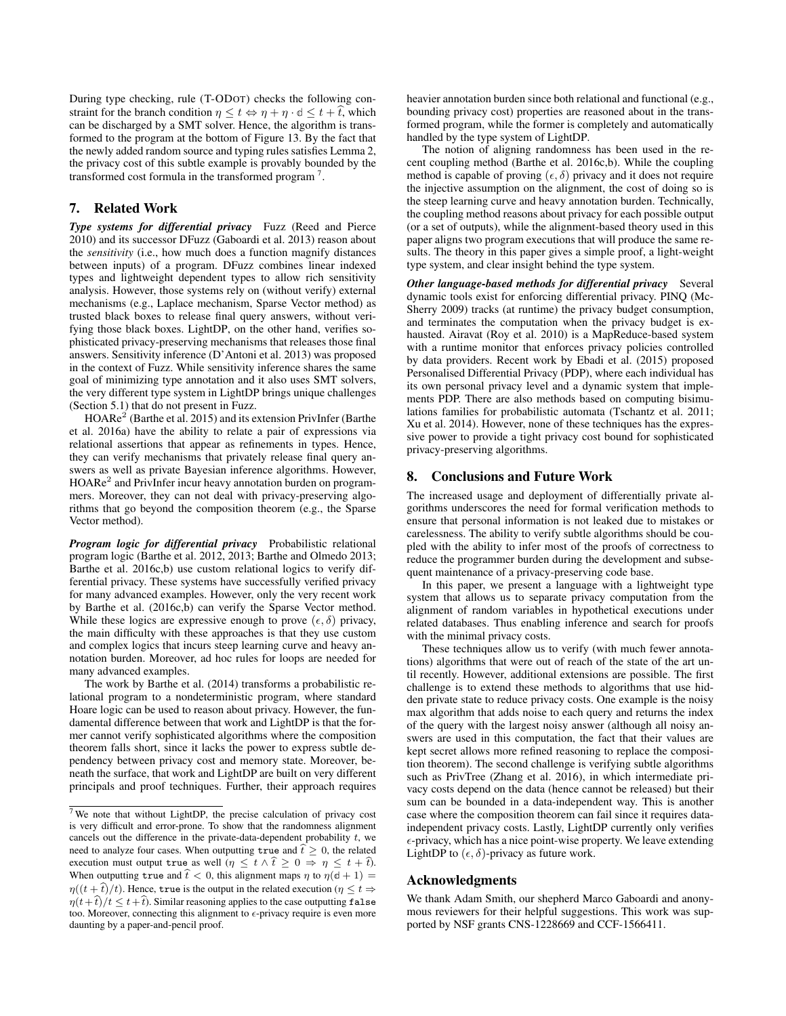During type checking, rule (T-ODOT) checks the following constraint for the branch condition  $\eta \leq t \Leftrightarrow \eta + \eta \cdot d \leq t + \hat{t}$ , which can be discharged by a SMT solver. Hence, the algorithm is transformed to the program at the bottom of Figure [13.](#page-11-2) By the fact that the newly added random source and typing rules satisfies Lemma [2,](#page-7-1) the privacy cost of this subtle example is provably bounded by the transformed cost formula in the transformed program [7](#page-12-0) .

# 7. Related Work

*Type systems for differential privacy* Fuzz [\(Reed and Pierce](#page-13-11) [2010\)](#page-13-11) and its successor DFuzz [\(Gaboardi et al.](#page-13-12) [2013\)](#page-13-12) reason about the *sensitivity* (i.e., how much does a function magnify distances between inputs) of a program. DFuzz combines linear indexed types and lightweight dependent types to allow rich sensitivity analysis. However, those systems rely on (without verify) external mechanisms (e.g., Laplace mechanism, Sparse Vector method) as trusted black boxes to release final query answers, without verifying those black boxes. LightDP, on the other hand, verifies sophisticated privacy-preserving mechanisms that releases those final answers. Sensitivity inference [\(D'Antoni et al.](#page-13-31) [2013\)](#page-13-31) was proposed in the context of Fuzz. While sensitivity inference shares the same goal of minimizing type annotation and it also uses SMT solvers, the very different type system in LightDP brings unique challenges (Section [5.1\)](#page-7-3) that do not present in Fuzz.

HOARe<sup>2</sup> [\(Barthe et al.](#page-13-32) [2015\)](#page-13-32) and its extension PrivInfer [\(Barthe](#page-13-33) [et al.](#page-13-33) [2016a\)](#page-13-33) have the ability to relate a pair of expressions via relational assertions that appear as refinements in types. Hence, they can verify mechanisms that privately release final query answers as well as private Bayesian inference algorithms. However, HOARe<sup>2</sup> and PrivInfer incur heavy annotation burden on programmers. Moreover, they can not deal with privacy-preserving algorithms that go beyond the composition theorem (e.g., the Sparse Vector method).

*Program logic for differential privacy* Probabilistic relational program logic [\(Barthe et al.](#page-13-13) [2012,](#page-13-13) [2013;](#page-13-34) [Barthe and Olmedo](#page-13-35) [2013;](#page-13-35) [Barthe et al.](#page-13-15) [2016c](#page-13-15)[,b\)](#page-13-16) use custom relational logics to verify differential privacy. These systems have successfully verified privacy for many advanced examples. However, only the very recent work by [Barthe et al.](#page-13-15) [\(2016c](#page-13-15)[,b\)](#page-13-16) can verify the Sparse Vector method. While these logics are expressive enough to prove  $(\epsilon, \delta)$  privacy, the main difficulty with these approaches is that they use custom and complex logics that incurs steep learning curve and heavy annotation burden. Moreover, ad hoc rules for loops are needed for many advanced examples.

The work by [Barthe et al.](#page-13-14) [\(2014\)](#page-13-14) transforms a probabilistic relational program to a nondeterministic program, where standard Hoare logic can be used to reason about privacy. However, the fundamental difference between that work and LightDP is that the former cannot verify sophisticated algorithms where the composition theorem falls short, since it lacks the power to express subtle dependency between privacy cost and memory state. Moreover, beneath the surface, that work and LightDP are built on very different principals and proof techniques. Further, their approach requires heavier annotation burden since both relational and functional (e.g., bounding privacy cost) properties are reasoned about in the transformed program, while the former is completely and automatically handled by the type system of LightDP.

The notion of aligning randomness has been used in the recent coupling method [\(Barthe et al.](#page-13-15) [2016c,](#page-13-15)[b\)](#page-13-16). While the coupling method is capable of proving  $(\epsilon, \delta)$  privacy and it does not require the injective assumption on the alignment, the cost of doing so is the steep learning curve and heavy annotation burden. Technically, the coupling method reasons about privacy for each possible output (or a set of outputs), while the alignment-based theory used in this paper aligns two program executions that will produce the same results. The theory in this paper gives a simple proof, a light-weight type system, and clear insight behind the type system.

*Other language-based methods for differential privacy* Several dynamic tools exist for enforcing differential privacy. PINQ [\(Mc-](#page-13-8)[Sherry](#page-13-8) [2009\)](#page-13-8) tracks (at runtime) the privacy budget consumption, and terminates the computation when the privacy budget is exhausted. Airavat [\(Roy et al.](#page-13-10) [2010\)](#page-13-10) is a MapReduce-based system with a runtime monitor that enforces privacy policies controlled by data providers. Recent work by [Ebadi et al.](#page-13-36) [\(2015\)](#page-13-36) proposed Personalised Differential Privacy (PDP), where each individual has its own personal privacy level and a dynamic system that implements PDP. There are also methods based on computing bisimulations families for probabilistic automata [\(Tschantz et al.](#page-13-37) [2011;](#page-13-37) [Xu et al.](#page-13-38) [2014\)](#page-13-38). However, none of these techniques has the expressive power to provide a tight privacy cost bound for sophisticated privacy-preserving algorithms.

## 8. Conclusions and Future Work

The increased usage and deployment of differentially private algorithms underscores the need for formal verification methods to ensure that personal information is not leaked due to mistakes or carelessness. The ability to verify subtle algorithms should be coupled with the ability to infer most of the proofs of correctness to reduce the programmer burden during the development and subsequent maintenance of a privacy-preserving code base.

In this paper, we present a language with a lightweight type system that allows us to separate privacy computation from the alignment of random variables in hypothetical executions under related databases. Thus enabling inference and search for proofs with the minimal privacy costs.

These techniques allow us to verify (with much fewer annotations) algorithms that were out of reach of the state of the art until recently. However, additional extensions are possible. The first challenge is to extend these methods to algorithms that use hidden private state to reduce privacy costs. One example is the noisy max algorithm that adds noise to each query and returns the index of the query with the largest noisy answer (although all noisy answers are used in this computation, the fact that their values are kept secret allows more refined reasoning to replace the composition theorem). The second challenge is verifying subtle algorithms such as PrivTree [\(Zhang et al.](#page-13-39) [2016\)](#page-13-39), in which intermediate privacy costs depend on the data (hence cannot be released) but their sum can be bounded in a data-independent way. This is another case where the composition theorem can fail since it requires dataindependent privacy costs. Lastly, LightDP currently only verifies  $\epsilon$ -privacy, which has a nice point-wise property. We leave extending LightDP to  $(\epsilon, \delta)$ -privacy as future work.

## Acknowledgments

We thank Adam Smith, our shepherd Marco Gaboardi and anonymous reviewers for their helpful suggestions. This work was supported by NSF grants CNS-1228669 and CCF-1566411.

<span id="page-12-0"></span><sup>7</sup> We note that without LightDP, the precise calculation of privacy cost is very difficult and error-prone. To show that the randomness alignment cancels out the difference in the private-data-dependent probability  $t$ , we need to analyze four cases. When outputting true and  $\hat{t} \geq 0$ , the related execution must output true as well  $(\eta \leq t \wedge \hat{t} \geq 0 \Rightarrow \eta \leq t + \hat{t}).$ When outputting true and  $\hat{t}$  < 0, this alignment maps  $\eta$  to  $\eta$ ( $\phi$  + 1) =  $\eta((t + \hat{t})/t)$ . Hence, true is the output in the related execution ( $\eta \leq t \Rightarrow$  $\eta(t + \hat{t})/t \leq t + \hat{t}$ . Similar reasoning applies to the case outputting false too. Moreover, connecting this alignment to  $\epsilon$ -privacy require is even more daunting by a paper-and-pencil proof.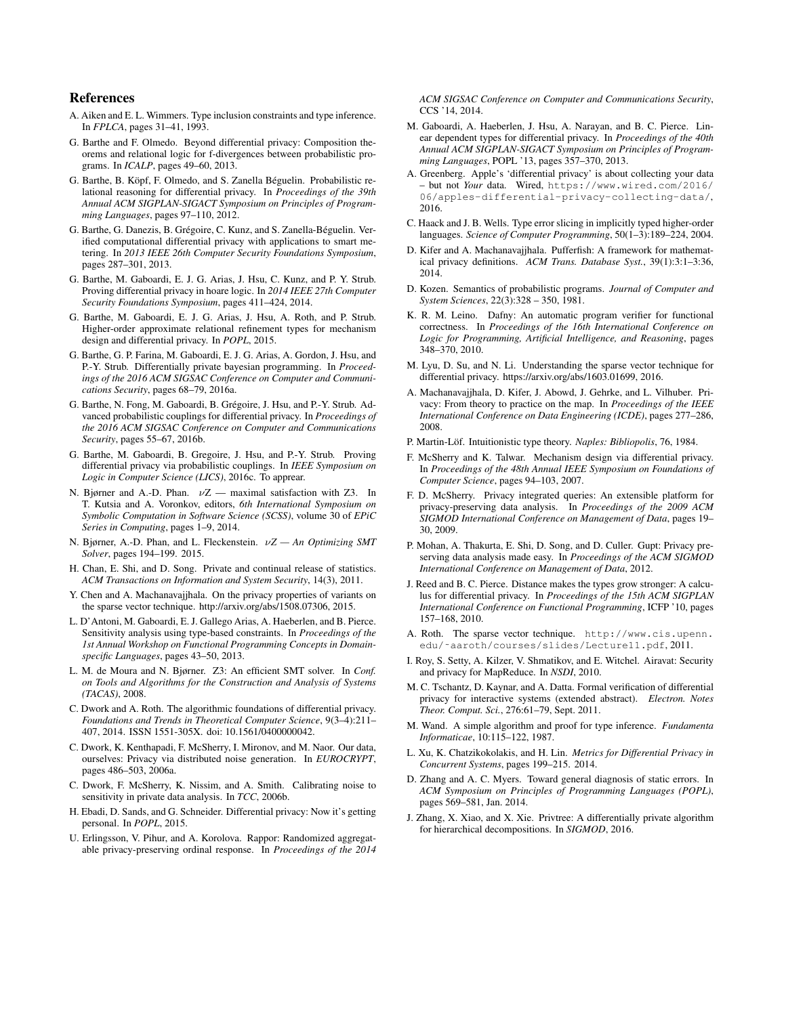## References

- <span id="page-13-25"></span>A. Aiken and E. L. Wimmers. Type inclusion constraints and type inference. In *FPLCA*, pages 31–41, 1993.
- <span id="page-13-35"></span>G. Barthe and F. Olmedo. Beyond differential privacy: Composition theorems and relational logic for f-divergences between probabilistic programs. In *ICALP*, pages 49–60, 2013.
- <span id="page-13-13"></span>G. Barthe, B. Köpf, F. Olmedo, and S. Zanella Béguelin. Probabilistic relational reasoning for differential privacy. In *Proceedings of the 39th Annual ACM SIGPLAN-SIGACT Symposium on Principles of Programming Languages*, pages 97–110, 2012.
- <span id="page-13-34"></span>G. Barthe, G. Danezis, B. Grégoire, C. Kunz, and S. Zanella-Béguelin. Verified computational differential privacy with applications to smart metering. In *2013 IEEE 26th Computer Security Foundations Symposium*, pages 287–301, 2013.
- <span id="page-13-14"></span>G. Barthe, M. Gaboardi, E. J. G. Arias, J. Hsu, C. Kunz, and P. Y. Strub. Proving differential privacy in hoare logic. In *2014 IEEE 27th Computer Security Foundations Symposium*, pages 411–424, 2014.
- <span id="page-13-32"></span>G. Barthe, M. Gaboardi, E. J. G. Arias, J. Hsu, A. Roth, and P. Strub. Higher-order approximate relational refinement types for mechanism design and differential privacy. In *POPL*, 2015.
- <span id="page-13-33"></span>G. Barthe, G. P. Farina, M. Gaboardi, E. J. G. Arias, A. Gordon, J. Hsu, and P.-Y. Strub. Differentially private bayesian programming. In *Proceedings of the 2016 ACM SIGSAC Conference on Computer and Communications Security*, pages 68–79, 2016a.
- <span id="page-13-16"></span>G. Barthe, N. Fong, M. Gaboardi, B. Gregoire, J. Hsu, and P.-Y. Strub. Ad- ´ vanced probabilistic couplings for differential privacy. In *Proceedings of the 2016 ACM SIGSAC Conference on Computer and Communications Security*, pages 55–67, 2016b.
- <span id="page-13-15"></span>G. Barthe, M. Gaboardi, B. Gregoire, J. Hsu, and P.-Y. Strub. Proving differential privacy via probabilistic couplings. In *IEEE Symposium on Logic in Computer Science (LICS)*, 2016c. To apprear.
- <span id="page-13-19"></span>N. Bjørner and A.-D. Phan.  $\nu Z$  — maximal satisfaction with Z3. In T. Kutsia and A. Voronkov, editors, *6th International Symposium on Symbolic Computation in Software Science (SCSS)*, volume 30 of *EPiC Series in Computing*, pages 1–9, 2014.
- <span id="page-13-20"></span>N. Bjørner, A.-D. Phan, and L. Fleckenstein. ν*Z — An Optimizing SMT Solver*, pages 194–199. 2015.
- <span id="page-13-29"></span>H. Chan, E. Shi, and D. Song. Private and continual release of statistics. *ACM Transactions on Information and System Security*, 14(3), 2011.
- <span id="page-13-5"></span>Y. Chen and A. Machanavajjhala. On the privacy properties of variants on the sparse vector technique. http://arxiv.org/abs/1508.07306, 2015.
- <span id="page-13-31"></span>L. D'Antoni, M. Gaboardi, E. J. Gallego Arias, A. Haeberlen, and B. Pierce. Sensitivity analysis using type-based constraints. In *Proceedings of the 1st Annual Workshop on Functional Programming Concepts in Domainspecific Languages*, pages 43–50, 2013.
- <span id="page-13-21"></span>L. M. de Moura and N. Bjørner. Z3: An efficient SMT solver. In *Conf. on Tools and Algorithms for the Construction and Analysis of Systems (TACAS)*, 2008.
- <span id="page-13-7"></span>C. Dwork and A. Roth. The algorithmic foundations of differential privacy. *Foundations and Trends in Theoretical Computer Science*, 9(3–4):211– 407, 2014. ISSN 1551-305X. doi: 10.1561/0400000042.
- <span id="page-13-18"></span>C. Dwork, K. Kenthapadi, F. McSherry, I. Mironov, and M. Naor. Our data, ourselves: Privacy via distributed noise generation. In *EUROCRYPT*, pages 486–503, 2006a.
- <span id="page-13-0"></span>C. Dwork, F. McSherry, K. Nissim, and A. Smith. Calibrating noise to sensitivity in private data analysis. In *TCC*, 2006b.
- <span id="page-13-36"></span>H. Ebadi, D. Sands, and G. Schneider. Differential privacy: Now it's getting personal. In *POPL*, 2015.
- <span id="page-13-3"></span>U. Erlingsson, V. Pihur, and A. Korolova. Rappor: Randomized aggregatable privacy-preserving ordinal response. In *Proceedings of the 2014*

*ACM SIGSAC Conference on Computer and Communications Security*, CCS '14, 2014.

- <span id="page-13-12"></span>M. Gaboardi, A. Haeberlen, J. Hsu, A. Narayan, and B. C. Pierce. Linear dependent types for differential privacy. In *Proceedings of the 40th Annual ACM SIGPLAN-SIGACT Symposium on Principles of Programming Languages*, POPL '13, pages 357–370, 2013.
- <span id="page-13-4"></span>A. Greenberg. Apple's 'differential privacy' is about collecting your data – but not *Your* data. Wired, [https://www.wired.com/2016/](https://www.wired.com/2016/06/apples-differential-privacy-collecting-data/) [06/apples-differential-privacy-collecting-data/](https://www.wired.com/2016/06/apples-differential-privacy-collecting-data/), 2016.
- <span id="page-13-27"></span>C. Haack and J. B. Wells. Type error slicing in implicitly typed higher-order languages. *Science of Computer Programming*, 50(1–3):189–224, 2004.
- <span id="page-13-1"></span>D. Kifer and A. Machanavajjhala. Pufferfish: A framework for mathematical privacy definitions. *ACM Trans. Database Syst.*, 39(1):3:1–3:36, 2014.
- <span id="page-13-17"></span>D. Kozen. Semantics of probabilistic programs. *Journal of Computer and System Sciences*, 22(3):328 – 350, 1981.
- <span id="page-13-23"></span>K. R. M. Leino. Dafny: An automatic program verifier for functional correctness. In *Proceedings of the 16th International Conference on Logic for Programming, Artificial Intelligence, and Reasoning*, pages 348–370, 2010.
- <span id="page-13-6"></span>M. Lyu, D. Su, and N. Li. Understanding the sparse vector technique for differential privacy. https://arxiv.org/abs/1603.01699, 2016.
- <span id="page-13-2"></span>A. Machanavajjhala, D. Kifer, J. Abowd, J. Gehrke, and L. Vilhuber. Privacy: From theory to practice on the map. In *Proceedings of the IEEE International Conference on Data Engineering (ICDE)*, pages 277–286, 2008.
- <span id="page-13-22"></span>P. Martin-Löf. Intuitionistic type theory. *Naples: Bibliopolis*, 76, 1984.
- <span id="page-13-30"></span>F. McSherry and K. Talwar. Mechanism design via differential privacy. In *Proceedings of the 48th Annual IEEE Symposium on Foundations of Computer Science*, pages 94–103, 2007.
- <span id="page-13-8"></span>F. D. McSherry. Privacy integrated queries: An extensible platform for privacy-preserving data analysis. In *Proceedings of the 2009 ACM SIGMOD International Conference on Management of Data*, pages 19– 30, 2009.
- <span id="page-13-9"></span>P. Mohan, A. Thakurta, E. Shi, D. Song, and D. Culler. Gupt: Privacy preserving data analysis made easy. In *Proceedings of the ACM SIGMOD International Conference on Management of Data*, 2012.
- <span id="page-13-11"></span>J. Reed and B. C. Pierce. Distance makes the types grow stronger: A calculus for differential privacy. In *Proceedings of the 15th ACM SIGPLAN International Conference on Functional Programming*, ICFP '10, pages 157–168, 2010.
- <span id="page-13-28"></span>A. Roth. The sparse vector technique. [http://www.cis.upenn.](http://www.cis.upenn.edu/~aaroth/courses/slides/Lecture11.pdf) [edu/˜aaroth/courses/slides/Lecture11.pdf](http://www.cis.upenn.edu/~aaroth/courses/slides/Lecture11.pdf), 2011.
- <span id="page-13-10"></span>I. Roy, S. Setty, A. Kilzer, V. Shmatikov, and E. Witchel. Airavat: Security and privacy for MapReduce. In *NSDI*, 2010.
- <span id="page-13-37"></span>M. C. Tschantz, D. Kaynar, and A. Datta. Formal verification of differential privacy for interactive systems (extended abstract). *Electron. Notes Theor. Comput. Sci.*, 276:61–79, Sept. 2011.
- <span id="page-13-24"></span>M. Wand. A simple algorithm and proof for type inference. *Fundamenta Informaticae*, 10:115–122, 1987.
- <span id="page-13-38"></span>L. Xu, K. Chatzikokolakis, and H. Lin. *Metrics for Differential Privacy in Concurrent Systems*, pages 199–215. 2014.
- <span id="page-13-26"></span>D. Zhang and A. C. Myers. Toward general diagnosis of static errors. In *ACM Symposium on Principles of Programming Languages (POPL)*, pages 569–581, Jan. 2014.
- <span id="page-13-39"></span>J. Zhang, X. Xiao, and X. Xie. Privtree: A differentially private algorithm for hierarchical decompositions. In *SIGMOD*, 2016.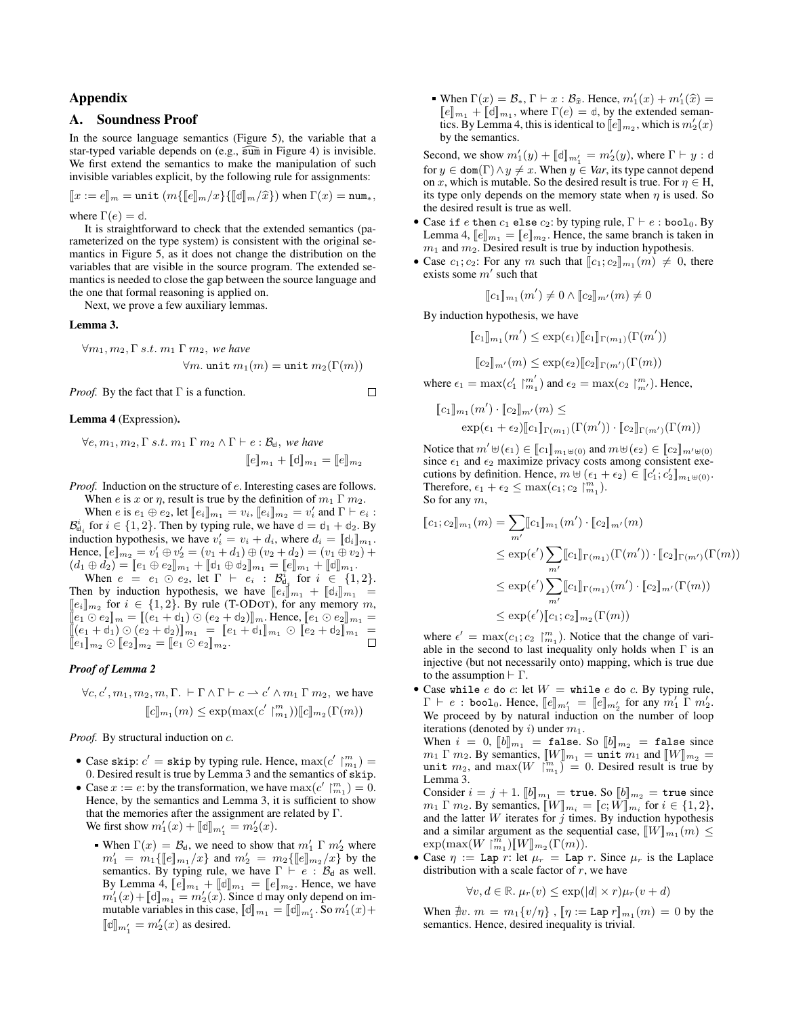# Appendix

# A. Soundness Proof

In the source language semantics (Figure [5\)](#page-5-1), the variable that a star-typed variable depends on  $(e.g., \widehat{sum}$  in Figure [4\)](#page-4-3) is invisible. We first extend the semantics to make the manipulation of such invisible variables explicit, by the following rule for assignments:

$$
[\![x:=e]\!]_m=\text{unit}\ (m\{[\![e]\!]_m/x\}\{[\![\mathbb{d}]\!]_m/\widehat{x}\})\text{ when }\Gamma(x)=\texttt{num}_*,
$$
 where  $\Gamma(e)=\mathbb{d}.$ 

It is straightforward to check that the extended semantics (parameterized on the type system) is consistent with the original semantics in Figure [5,](#page-5-1) as it does not change the distribution on the variables that are visible in the source program. The extended semantics is needed to close the gap between the source language and the one that formal reasoning is applied on.

Next, we prove a few auxiliary lemmas.

#### <span id="page-14-0"></span>Lemma 3.

$$
\forall m_1, m_2, \Gamma \text{ s.t. } m_1 \Gamma \, m_2, \text{ we have}
$$

$$
\forall m. \text{ unit } m_1(m) = \text{unit } m_2(\Gamma(m))
$$

*Proof.* By the fact that  $\Gamma$  is a function.

#### <span id="page-14-1"></span>Lemma 4 (Expression).

 $\forall e, m_1, m_2, \Gamma \, s.t. \, m_1 \Gamma \, m_2 \wedge \Gamma \vdash e : \mathcal{B}_{d}, \, \text{we have}$  $\llbracket e \rrbracket_{m_1} + \llbracket \phi \rrbracket_{m_1} = \llbracket e \rrbracket_{m_2}$ 

*Proof.* Induction on the structure of e. Interesting cases are follows. When e is x or  $\eta$ , result is true by the definition of  $m_1 \Gamma m_2$ .

When e is  $e_1 \oplus e_2$ , let  $[[e_i]]_{m_1} = v_i$ ,  $[[e_i]]_{m_2} = v'_i$  and  $\Gamma \vdash e_i$ :<br>for  $i \in \{1, 2\}$ . Then by typing rule, we have  $d = d_i + d_2$ . By  $\mathcal{B}_{d_i}^i$  for  $i \in \{1, 2\}$ . Then by typing rule, we have  $d = d_1 + d_2$ . By induction hypothesis, we have  $v'_i = v_i + d_i$ , where  $d_i = [\![d_i]\!]_{m_1}$ .<br>Hence  $[\![e]\!]_i = v'_i \oplus v'_i = (v_i + d_i) \oplus (v_i + d_0) = (v_i \oplus v_i) +$ Hence,  $\begin{bmatrix} e \\ \end{bmatrix} \begin{bmatrix} h_1 \\ m_2 \end{bmatrix} = v'_1 \oplus v'_2 = (v_1 + d_1) \oplus (v_2 + d_2) = (v_1 \oplus v_2) + (d_1 \oplus d_2) = (v_1 \oplus v_2)$  $(d_1 \oplus d_2) = [\![ e_1 \oplus e_2 ]\!]_{m_1} + [\![ d_1 \oplus d_2 ]\!]_{m_1} = [\![ e]\!]_{m_1} + [\![ d]\!]_{m_1}.$ <br>When  $e = e_1 \oplus e_2$  let  $\Gamma \vdash e_1 \cdots \mathcal{B}^i$  for  $i \in [1]$ 

When  $e = e_1 \odot e_2$ , let  $\Gamma \vdash e_i : \mathcal{B}^i_{d_i}$  for  $i \in \{1, 2\}.$ Then by induction hypothesis, we have  $\llbracket e_i \rrbracket_{m_1} + \llbracket \phi_i \rrbracket_{m_1} =$  $\llbracket e_i \rrbracket_{m_2}$  for  $i \in \{1, 2\}$ . By rule (T-ODOT), for any memory m,<br> $\llbracket e_i \otimes e_2 \rrbracket = \llbracket (e_1 + e_2) \otimes (e_2 + e_2) \rrbracket$ . Hence  $\llbracket e_i \otimes e_2 \rrbracket =$  $[\![e_1 \odot e_2]\!]_m = [\![(e_1 + \mathbb{d}_1) \odot (e_2 + \mathbb{d}_2)]\!]_m$ . Hence,  $[\![e_1 \odot e_2]\!]_{m_1} =$  $\begin{bmatrix} \mathbb{C} & 1 & 0 & 0 & 0 \\ \mathbb{C} & 1 & 0 & 1 & 0 \\ \mathbb{C} & 1 & 0 & 0 & 0 \\ \mathbb{C} & 0 & 0 & 0 & 0 \\ \end{bmatrix}$   $\begin{bmatrix} \mathbb{C} & 1 & 0 & 0 \\ 0 & 1 & 0 & 0 \\ 0 & 0 & 0 & 0 \\ \end{bmatrix}$   $\begin{bmatrix} \mathbb{C} & 1 & 0 & 0 \\ 0 & 1 & 0 & 0 \\ \mathbb{C} & 0 & 0 & 0 \\ \end{bmatrix}$   $\begin{bmatrix} \mathbb{C} & 1$  $\llbracket e_1 \rrbracket_{m_2} \odot \llbracket e_2 \rrbracket_{m_2} = \llbracket e_1 \odot e_2 \rrbracket_{m_2}.$ 

#### *Proof of Lemma [2](#page-7-1)*

$$
\forall c, c', m_1, m_2, m, \Gamma. \vdash \Gamma \land \Gamma \vdash c \rightharpoonup c' \land m_1 \Gamma \, m_2, \text{ we have}
$$

$$
[[c]]_{m_1}(m) \le \exp(\max(c' \upharpoonright_{m_1}^m))[[c]]_{m_2}(\Gamma(m))
$$

*Proof.* By structural induction on *c*.

- Case skip:  $c' =$  skip by typing rule. Hence,  $\max(c' \mid_{m_1}^m) =$ 0. Desired result is true by Lemma [3](#page-14-0) and the semantics of skip.
- Case  $x := e$ : by the transformation, we have  $\max(c' \mid_{m_1}^m) = 0$ . Hence, by the semantics and Lemma [3,](#page-14-0) it is sufficient to show that the memories after the assignment are related by Γ. We first show  $m'_1(x) + [\![\phi]\!]_{m'_1} = m'_2(x)$ .
	- When  $\Gamma(x) = \mathcal{B}_{d}$ , we need to show that  $m'_1 \Gamma m'_2$  where  $m'_1 = m_1' \{ [\![ e ]\!]_{m_1}/x \}$  and  $m'_2 = m_2 \{ [\![ e ]\!]_{m_2}/x \}$  by the semantics By typing rule, we have  $\Gamma \vdash e : \mathcal{B}$  as well semantics. By typing rule, we have  $\Gamma \vdash e : B_d$  as well. By Lemma [4,](#page-14-1)  $[\![e]\!]_{m_1} + [\![e]\!]_{m_1} = [\![e]\!]_{m_2}$ . Hence, we have  $m'_\lambda(x) + [\![e]\!] = m'_\lambda(x)$ . Since glues we have only depend on im $m'_1(x) + \llbracket \text{d} \rrbracket_{m_1} = m'_2(x)$ . Since d may only depend on im-<br>mutable variables in this case.  $\llbracket \text{d} \rrbracket = \llbracket \text{d} \rrbracket$ , So  $m'(x) +$ mutable variables in this case,  $[\![\phi]\!]_{m_1} = [\![\phi]\!]_{m'_1}$ . So  $m'_1(x) +$  $[\![\phi]\!]_{m'_1} = m'_2(x)$  as desired.

When  $\Gamma(x) = \mathcal{B}_*, \Gamma \vdash x : \mathcal{B}_{\hat{x}}$ . Hence,  $m'_1(x) + m'_1(\hat{x}) =$ <br>  $\llbracket e \rrbracket$  +  $\llbracket d \rrbracket$  where  $\Gamma(e) = d$  by the extended seman- $[\![e]\!]_{m_1} + [\![\phi]\!]_{m_1}$ , where  $\Gamma(e) = \emptyset$ , by the extended seman-<br>tics By Lemma 4, this is identical to  $[\![e]\!]$ , which is  $m'(x)$ tics. By Lemma [4,](#page-14-1) this is identical to  $[ [e]_{m_2}$ , which is  $m'_2(x)$ <br>by the semantics by the semantics.

Second, we show  $m'_1(y) + [\![\![\phi]\!]_{m'_1} = m'_2(y)$ , where  $\Gamma \vdash y : \phi$ <br>for  $y \in \text{dom}(\Gamma) \land y \neq x$ . When  $y \in \text{Var}$  its time cannot depend for  $y \in \text{dom}(\Gamma) \land y \neq x$ . When  $y \in \text{Var}$ , its type cannot depend on x, which is mutable. So the desired result is true. For  $\eta \in H$ , its type only depends on the memory state when  $\eta$  is used. So the desired result is true as well.

- Case if  $e$  then  $c_1$  else  $c_2$ : by typing rule,  $\Gamma \vdash e : \texttt{bool}_0$ . By Lemma [4,](#page-14-1)  $[\![e]\!]_{m_1} = [\![e]\!]_{m_2}$ . Hence, the same branch is taken in<br>m<sub>1</sub> and m<sub>2</sub>. Desired result is true by induction by pothesis  $m_1$  and  $m_2$ . Desired result is true by induction hypothesis.
- Case  $c_1$ ;  $c_2$ : For any m such that  $[[c_1;c_2]]_{m_1}(m) \neq 0$ , there exists some m' such that exists some  $m'$  such that

$$
[\![c_1]\!]_{m_1}(m') \neq 0 \wedge [\![c_2]\!]_{m'}(m) \neq 0
$$

By induction hypothesis, we have

 $\Box$ 

 $[ c_1 ]_{m_1}(m') \le \exp(\epsilon_1) [c_1]_{\Gamma(m_1)}(\Gamma(m'))$ 

$$
[\![c_2]\!]_{m'}(m) \le \exp(\epsilon_2) [\![c_2]\!]_{\Gamma(m')}(\Gamma(m))
$$

where  $\epsilon_1 = \max(c'_1 \mid_{m_1}^{m'})$  and  $\epsilon_2 = \max(c_2 \mid_{m'}^{m})$ . Hence,

$$
\[c_1\]_{m_1}(m') \cdot [c_2\]_{m'}(m) \le
$$
  
 
$$
\exp(\epsilon_1 + \epsilon_2) [c_1\]_{\Gamma(m_1)}(\Gamma(m')) \cdot [c_2\]_{\Gamma(m')}(\Gamma(m))
$$

Notice that  $m' \uplus (\epsilon_1) \in [c_1]_{m_1 \uplus (0)}$  and  $m \uplus (\epsilon_2) \in [c_2]_{m' \uplus (0)}$ since  $\epsilon_1$  and  $\epsilon_2$  maximize privacy costs among consistent executions by definition. Hence,  $m \uplus (\epsilon_1 + \epsilon_2) \in [c'_1; c'_2]_{m_1 \uplus (0)}$ .<br>Therefore  $\epsilon_1 + \epsilon_2 \leq \max(c_1; c_2)$ . Therefore,  $\epsilon_1 + \epsilon_2 \leq \max(c_1; c_2 \mid_{m_1}^m)$ . So for any m,

$$
[c_1;c_2]_{m_1}(m) = \sum_{m'} [c_1]_{m_1}(m') \cdot [c_2]_{m'}(m)
$$
  
\n
$$
\leq \exp(\epsilon') \sum_{m'} [c_1]_{\Gamma(m_1)}(\Gamma(m')) \cdot [c_2]_{\Gamma(m')}(\Gamma(m))
$$
  
\n
$$
\leq \exp(\epsilon') \sum_{m'} [c_1]_{\Gamma(m_1)}(m') \cdot [c_2]_{m'}(\Gamma(m))
$$
  
\n
$$
\leq \exp(\epsilon') [c_1;c_2]_{m_2}(\Gamma(m))
$$

where  $\epsilon' = \max(c_1; c_2 \mid_{m_1}^m)$ . Notice that the change of variable in the second to last inequality only holds when  $\Gamma$  is an injective (but not necessarily onto) mapping, which is true due to the assumption  $\vdash \Gamma$ .

• Case while e do c: let  $W =$  while e do c. By typing rule,  $\Gamma \vdash e : \text{bool}_0$ . Hence,  $[\![e]\!]_{m'_1} = [\![e]\!]_{m'_2}$  for any  $m'_1 \Gamma m'_2$ .<br>We proceed by hy natural induction on the number of loop We proceed by by natural induction on the number of loop iterations (denoted by i) under  $m_1$ .

When  $i = 0$ ,  $[[b]]_{m_1} =$  false. So  $[[b]]_{m_2} =$  false since  $m_1 \Gamma m_2$ . By semantics,  $\llbracket W \rrbracket_{m_1} = \text{unit } m_1$  and  $\llbracket W \rrbracket_{m_2} = \text{unit } m_2$ , and  $\max(W \mid \frac{m}{m_1}) = 0$ . Desired result is true by Lemma [3.](#page-14-0)

Consider  $i = j + 1$ .  $[[b]]_{m_1} =$  true. So  $[[b]]_{m_2} =$  true since  $m_1 \Gamma m_2$ . By semantics  $[[W]]_{m_1} = [[c \cdot W]]_{m_2}$  for  $i \in [1, 2]$ .  $m_1 \Gamma m_2$ . By semantics,  $[[W]]_{m_i} = [[c; W]]_{m_i}$  for  $i \in \{1, 2\}$ ,<br>and the latter W iterates for i times. By induction by nothesis and the latter  $W$  iterates for  $j$  times. By induction hypothesis and a similar argument as the sequential case,  $[[W]]_{m_1}(m) \le$ <br> $\exp\left(\max(W)^{m_1}[[W]] - (F(m))\right)$  $\exp(\max(W \mid_{m_1}^{m})[W]_{m_2}(\Gamma(m)).$ 

• Case  $\eta := \text{Lap } r$ : let  $\mu_r = \text{Lap } r$ . Since  $\mu_r$  is the Laplace distribution with a scale factor of  $r$ , we have

 $\forall v, d \in \mathbb{R}$ .  $\mu_r(v) \leq \exp(|d| \times r) \mu_r(v + d)$ 

When  $\forall w \cdot m = m_1 \{v/\eta\}$ ,  $[\![ \eta := \text{Lap } r \!]_{m_1}(m) = 0$  by the semantics. Hence desired inequality is trivial semantics. Hence, desired inequality is trivial.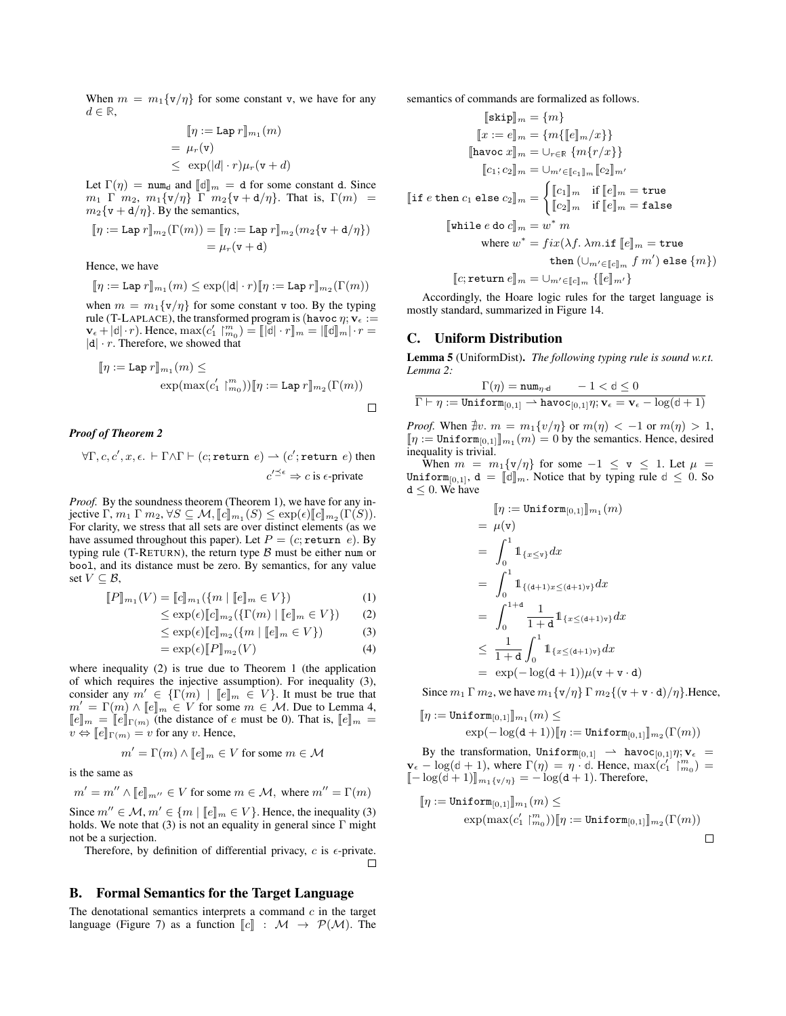When  $m = m_1 \{v/\eta\}$  for some constant v, we have for any  $d \in \mathbb{R}$ ,

$$
\llbracket \eta := \texttt{Lap } r \rrbracket_{m_1}(m)
$$
  
=  $\mu_r(\mathtt{v})$   
 $\leq \exp(|d| \cdot r) \mu_r(\mathtt{v} + d)$ 

Let  $\Gamma(\eta) = \text{num}_d$  and  $\llbracket d \rrbracket_m = d$  for some constant d. Since  $m_1 \Gamma$   $m_2$ ,  $m_1 \{ \mathbf{v}/\eta \} \Gamma$   $m_2 \{ \mathbf{v} + \mathbf{d}/\eta \}$ . That is,  $\Gamma(m)$  =  $m_2\{\mathsf{v}+\mathsf{d}/\eta\}$ . By the semantics,

$$
\begin{aligned} [\![\eta := \mathrm{Lap}\, r]\!]_{m_2}(\Gamma(m)) &= [\![\eta := \mathrm{Lap}\, r]\!]_{m_2}(m_2\{\mathtt{v} + \mathtt{d}/\eta\}) \\ &= \mu_r(\mathtt{v} + \mathtt{d}) \end{aligned}
$$

Hence, we have

$$
[\![\eta:=\text{Lap } r]\!]_{m_1}(m) \leq \exp(|\mathtt{d}|\cdot r)[\![\eta:=\text{Lap } r]\!]_{m_2}(\Gamma(m))
$$

when  $m = m_1 \{v/\eta\}$  for some constant v too. By the typing rule (T-LAPLACE), the transformed program is (havoc  $\eta$ ;  $v_{\epsilon}$  :=  $\mathbf{v}_{\epsilon} + |\mathbf{d}| \cdot r$ . Hence,  $\max(c_1' \mid_{m_0}^m) = ||\mathbf{d}| \cdot r \mid_m = ||\mathbf{d}||_m \cdot r =$  $|d| \cdot r$ . Therefore, we showed that

$$
[\![\eta:=\text{Lap }r]\!]_{m_1}(m) \leq \\ \qquad \exp(\max(c_1'\upharpoonright_{m_0}^m))[\![\eta:=\text{Lap }r]\!]_{m_2}(\Gamma(m))
$$

#### *Proof of Theorem [2](#page-7-4)*

 $\forall Γ, c, c', x, ε$ .  $\vdash Γ ∧ Γ ⊢ (c; return e) → (c'; return e)$  then  $c'^{\preceq_{\epsilon}} \Rightarrow c$  is  $\epsilon$ -private

*Proof.* By the soundness theorem (Theorem [1\)](#page-7-5), we have for any injective  $\Gamma$ ,  $m_1 \Gamma$   $m_2$ ,  $\forall S \subseteq \mathcal{M}$ ,  $[\![c]\!]_{m_1}(S) \leq \exp(\epsilon) [\![c]\!]_{m_2}(\Gamma(S)).$ <br>For clarity, we stress that all sets are over distinct elements (as we For clarity, we stress that all sets are over distinct elements (as we have assumed throughout this paper). Let  $P = (c; \text{return } e)$ . By typing rule (T-RETURN), the return type  $\beta$  must be either num or bool, and its distance must be zero. By semantics, for any value set  $V \subseteq \mathcal{B}$ ,

$$
[\![P]\!]_{m_1}(V) = [\![c]\!]_{m_1}(\{m \mid [\![e]\!]_m \in V\})
$$
(1)

$$
\leq \exp(\epsilon) \llbracket c \rrbracket_{m_2} (\{\Gamma(m) \mid \llbracket e \rrbracket_m \in V \}) \tag{2}
$$

$$
\leq \exp(\epsilon) [[c]]_{m_2}(\{m \mid [[e]]_m \in V\}) \tag{3}
$$

$$
= \exp(\epsilon) [P]_{m_2}(V) \tag{4}
$$

where inequality (2) is true due to Theorem [1](#page-7-5) (the application of which requires the injective assumption). For inequality (3), consider any  $m' \in {\{\Gamma(m) \mid \llbracket e \rrbracket_m \in V\}}$ . It must be true that  $m' = \Gamma(m) \wedge [e]_m \in V$  for some  $m \in \mathcal{M}$ . Due to Lemma [4,](#page-14-1)  $\llbracket e \rrbracket_m = \llbracket e \rrbracket_{\Gamma(m)}$  (the distance of e must be 0). That is,  $\llbracket e \rrbracket_m =$  $v \Leftrightarrow [e]_{\Gamma(m)} = v$  for any v. Hence,

$$
m' = \Gamma(m) \wedge [e]_m \in V \text{ for some } m \in \mathcal{M}
$$

is the same as

 $m' = m'' \wedge [e]_{m''} \in V$  for some  $m \in \mathcal{M}$ , where  $m'' = \Gamma(m)$ 

Since  $m'' \in \mathcal{M}, m' \in \{m \mid \llbracket e \rrbracket_m \in V \}$ . Hence, the inequality (3) holds. We note that (3) is not an equality in general since  $\Gamma$  might not be a surjection.

Therefore, by definition of differential privacy,  $c$  is  $\epsilon$ -private.  $\Box$ 

#### B. Formal Semantics for the Target Language

The denotational semantics interprets a command  $c$  in the target language (Figure [7\)](#page-6-1) as a function  $\llbracket c \rrbracket$  :  $\mathcal{M} \to \mathcal{P}(\mathcal{M})$ . The semantics of commands are formalized as follows.

$$
[\![\text{skip}]\!]_m = \{m\}
$$
\n
$$
[\![x := e]\!]_m = \{m\{[\![e]\!]_m/x\}\}
$$
\n
$$
[\![\text{havoc } x]\!]_m = \cup_{r \in \mathbb{R}} \{m\{r/x\}\}
$$
\n
$$
[\![c_1; c_2]\!]_m = \cup_{m' \in [\![c_1]\!]_m} [\![c_2]\!]_{m'}
$$
\n
$$
[\![\text{if } e \text{ then } c_1 \text{ else } c_2]\!]_m = \begin{cases} [\![c_1]\!]_m & \text{if } [\![e]\!]_m = \text{true} \\ [\![c_2]\!]_m & \text{if } [\![e]\!]_m = \text{false} \end{cases}
$$
\n
$$
[\![\text{while } e \text{ do } c]\!]_m = w^* \ m
$$
\n
$$
\text{where } w^* = fix(\lambda f. \lambda m. \text{if } [\![e]\!]_m = \text{true}
$$
\n
$$
\text{then } (\cup_{m' \in [\![e]\!]_m} f m') \text{ else } \{m\})
$$
\n
$$
[\![c; \text{return } e]\!]_m = \cup_{m' \in [\![e]\!]_m} \{[\![e]\!]_{m'}\}
$$

Accordingly, the Hoare logic rules for the target language is mostly standard, summarized in Figure [14.](#page-16-0)

# C. Uniform Distribution

Lemma 5 (UniformDist). *The following typing rule is sound w.r.t. Lemma [2:](#page-7-1)*

$$
\dfrac{\Gamma(\eta) = \texttt{num}_{\eta \cdot \texttt{d}} \quad -1 < \texttt{d} \leq 0}{\Gamma \vdash \eta := \texttt{Uniform}_{[0,1]} \rightarrow \texttt{havoc}_{[0,1]} \eta; \mathbf{v}_{\epsilon} = \mathbf{v}_{\epsilon} - \log(\texttt{d} + 1)}
$$

*Proof.* When  $\exists v$ .  $m = m_1\{v/\eta\}$  or  $m(\eta) < -1$  or  $m(\eta) > 1$ ,  $[\![\eta] := \text{Uniform}_{[0,1]}[\!]_{m_1}(m) = 0$  by the semantics. Hence, desired inequality is trivial inequality is trivial.

When  $m = m_1 \{v/\eta\}$  for some  $-1 \le v \le 1$ . Let  $\mu =$ Uniform<sub>[0,1]</sub>,  $d = [d]_m$ . Notice that by typing rule  $d \leq 0$ . So  $d \leq 0$ . We have

$$
\[\eta := \text{Uniform}_{[0,1]}\]_{m_1}(m)
$$
\n
$$
= \mu(\mathbf{v})
$$
\n
$$
= \int_0^1 \mathbb{1}_{\{x \le v\}} dx
$$
\n
$$
= \int_0^1 \mathbb{1}_{\{(d+1)x \le (d+1)\mathbf{v}\}} dx
$$
\n
$$
= \int_0^{1+d} \frac{1}{1+d} \mathbb{1}_{\{x \le (d+1)\mathbf{v}\}} dx
$$
\n
$$
\le \frac{1}{1+d} \int_0^1 \mathbb{1}_{\{x \le (d+1)\mathbf{v}\}} dx
$$
\n
$$
= \exp(-\log(d+1))\mu(\mathbf{v} + \mathbf{v} \cdot \mathbf{d})
$$

Since  $m_1 \Gamma m_2$ , we have  $m_1 \{ \mathbf{v}/\eta \} \Gamma m_2 \{ (\mathbf{v} + \mathbf{v} \cdot \mathbf{d})/\eta \}$ . Hence,

$$
[\![\eta:=\texttt{Uniform}_{[0,1]}\!]_{m_1}(m)\leq\\ \hspace{1cm}\exp(-\log(\texttt{d}+1))[\![\eta:=\texttt{Uniform}_{[0,1]}\!]_{m_2}(\Gamma(m))
$$

By the transformation, Uniform $_{[0,1]} \rightarrow \text{havoc}_{[0,1]} \eta; \mathbf{v}_{\epsilon}$  =  $\mathbf{v}_{\epsilon} - \log(\mathbf{d} + 1)$ , where  $\Gamma(\eta) = \eta \cdot \mathbf{d}$ . Hence,  $\max(c_1' \mid_{m_0}^m)$  $\int_{0}^{\frac{1}{6}} \log(\frac{d}{\theta} + 1) \, m_1 \{v/\eta\} = -\log(\frac{d}{\theta} + 1)$ . Therefore,

$$
[\![\eta:=\texttt{Uniform}_{[0,1]}\!]_{m_1}(m)\leq\\ \hspace*{1cm}\exp(\max(c'_1\!\!\upharpoonright_{m_0}^m))[\![\eta:=\texttt{Uniform}_{[0,1]}\!]_{m_2}(\Gamma(m))\\ \hspace*{1cm}\square
$$